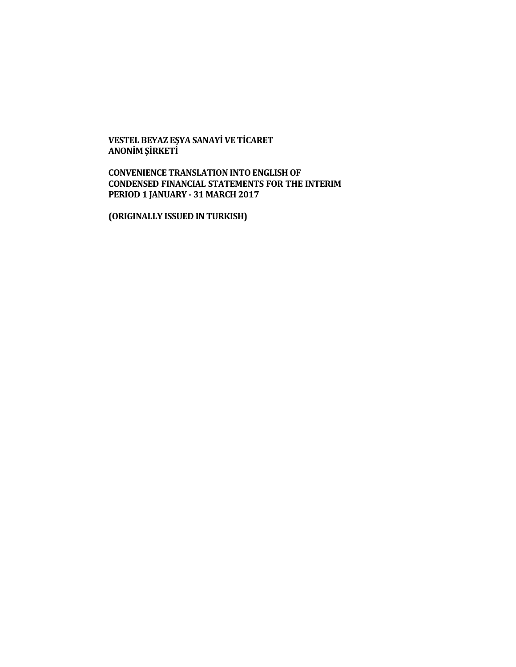**VESTEL BEYAZ EŞYA SANAYİ VE TİCARET ANONİM ŞİRKETİ**

**CONVENIENCE TRANSLATION INTO ENGLISH OF CONDENSED FINANCIAL STATEMENTS FOR THE INTERIM PERIOD 1 JANUARY - 31 MARCH 2017**

**(ORIGINALLY ISSUED IN TURKISH)**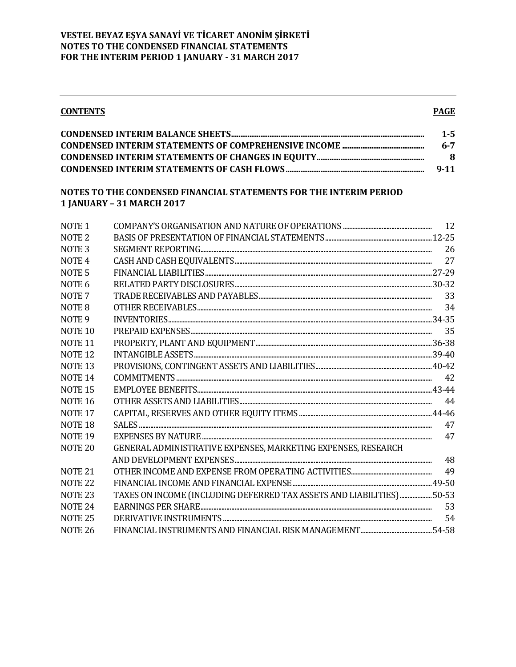| <b>CONTENTS</b> | <b>PAGE</b> |
|-----------------|-------------|
|                 | $1 - 5$     |
|                 | $6 - 7$     |
|                 | 8           |
|                 | $9 - 11$    |

## NOTES TO THE CONDENSED FINANCIAL STATEMENTS FOR THE INTERIM PERIOD **1 JANUARY - 31 MARCH 2017**

| <b>NOTE1</b>       |                                                                      |    |
|--------------------|----------------------------------------------------------------------|----|
| NOTE <sub>2</sub>  |                                                                      |    |
| NOTE <sub>3</sub>  |                                                                      |    |
| NOTE <sub>4</sub>  |                                                                      |    |
| NOTE <sub>5</sub>  |                                                                      |    |
| NOTE 6             |                                                                      |    |
| NOTE <sub>7</sub>  |                                                                      | 33 |
| NOTE <sub>8</sub>  |                                                                      |    |
| NOTE <sub>9</sub>  |                                                                      |    |
| NOTE <sub>10</sub> |                                                                      |    |
| NOTE <sub>11</sub> |                                                                      |    |
| NOTE <sub>12</sub> |                                                                      |    |
| <b>NOTE 13</b>     |                                                                      |    |
| <b>NOTE 14</b>     |                                                                      |    |
| NOTE <sub>15</sub> |                                                                      |    |
| <b>NOTE 16</b>     |                                                                      |    |
| NOTE <sub>17</sub> |                                                                      |    |
| NOTE <sub>18</sub> |                                                                      | 47 |
| NOTE <sub>19</sub> |                                                                      |    |
| NOTE <sub>20</sub> | GENERAL ADMINISTRATIVE EXPENSES, MARKETING EXPENSES, RESEARCH        |    |
|                    |                                                                      | 48 |
| NOTE <sub>21</sub> |                                                                      |    |
| <b>NOTE 22</b>     |                                                                      |    |
| NOTE <sub>23</sub> | TAXES ON INCOME (INCLUDING DEFERRED TAX ASSETS AND LIABILITIES)50-53 |    |
| NOTE <sub>24</sub> |                                                                      | 53 |
| <b>NOTE 25</b>     |                                                                      | 54 |
| <b>NOTE 26</b>     |                                                                      |    |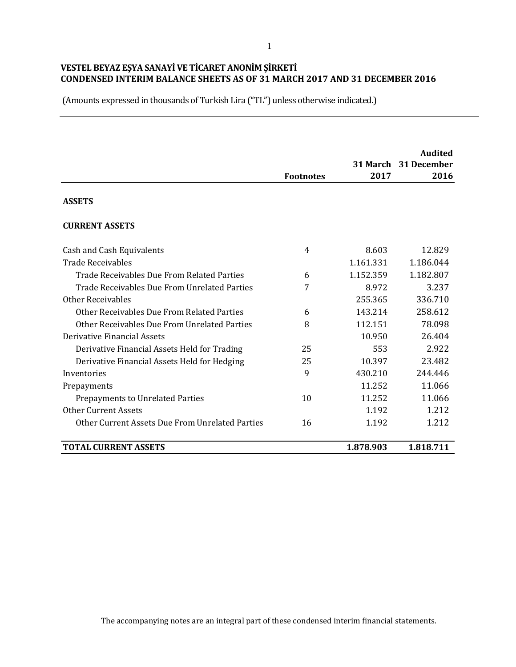(Amounts expressed in thousands of Turkish Lira ("TL") unless otherwise indicated.)

|                                                 | <b>Footnotes</b> | 2017      | <b>Audited</b><br>31 March 31 December<br>2016 |
|-------------------------------------------------|------------------|-----------|------------------------------------------------|
| <b>ASSETS</b>                                   |                  |           |                                                |
| <b>CURRENT ASSETS</b>                           |                  |           |                                                |
| Cash and Cash Equivalents                       | 4                | 8.603     | 12.829                                         |
| <b>Trade Receivables</b>                        |                  | 1.161.331 | 1.186.044                                      |
| Trade Receivables Due From Related Parties      | 6                | 1.152.359 | 1.182.807                                      |
| Trade Receivables Due From Unrelated Parties    | 7                | 8.972     | 3.237                                          |
| Other Receivables                               |                  | 255.365   | 336.710                                        |
| Other Receivables Due From Related Parties      | 6                | 143.214   | 258.612                                        |
| Other Receivables Due From Unrelated Parties    | 8                | 112.151   | 78.098                                         |
| <b>Derivative Financial Assets</b>              |                  | 10.950    | 26.404                                         |
| Derivative Financial Assets Held for Trading    | 25               | 553       | 2.922                                          |
| Derivative Financial Assets Held for Hedging    | 25               | 10.397    | 23.482                                         |
| Inventories                                     | 9                | 430.210   | 244.446                                        |
| Prepayments                                     |                  | 11.252    | 11.066                                         |
| Prepayments to Unrelated Parties                | 10               | 11.252    | 11.066                                         |
| <b>Other Current Assets</b>                     |                  | 1.192     | 1.212                                          |
| Other Current Assets Due From Unrelated Parties | 16               | 1.192     | 1.212                                          |
| <b>TOTAL CURRENT ASSETS</b>                     |                  | 1.878.903 | 1.818.711                                      |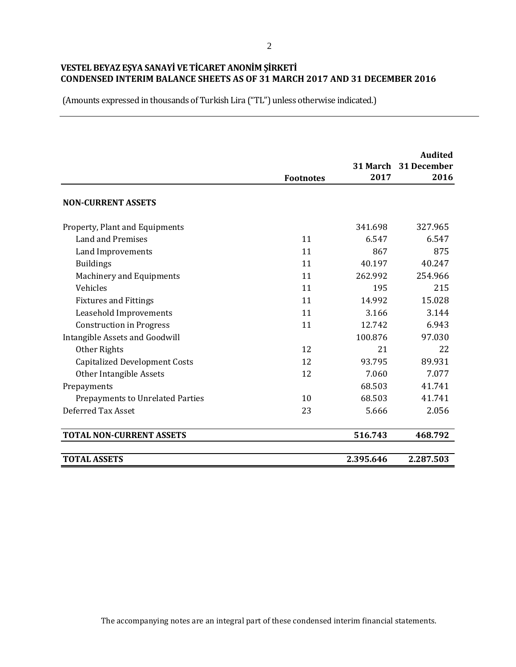(Amounts expressed in thousands of Turkish Lira ("TL") unless otherwise indicated.)

|                                       | <b>Footnotes</b> | 2017      | <b>Audited</b><br>31 March 31 December<br>2016 |
|---------------------------------------|------------------|-----------|------------------------------------------------|
| <b>NON-CURRENT ASSETS</b>             |                  |           |                                                |
| Property, Plant and Equipments        |                  | 341.698   | 327.965                                        |
| Land and Premises                     | 11               | 6.547     | 6.547                                          |
| Land Improvements                     | 11               | 867       | 875                                            |
| <b>Buildings</b>                      | 11               | 40.197    | 40.247                                         |
| Machinery and Equipments              | 11               | 262.992   | 254.966                                        |
| Vehicles                              | 11               | 195       | 215                                            |
| <b>Fixtures and Fittings</b>          | 11               | 14.992    | 15.028                                         |
| Leasehold Improvements                | 11               | 3.166     | 3.144                                          |
| <b>Construction in Progress</b>       | 11               | 12.742    | 6.943                                          |
| <b>Intangible Assets and Goodwill</b> |                  | 100.876   | 97.030                                         |
| Other Rights                          | 12               | 21        | 22                                             |
| <b>Capitalized Development Costs</b>  | 12               | 93.795    | 89.931                                         |
| Other Intangible Assets               | 12               | 7.060     | 7.077                                          |
| Prepayments                           |                  | 68.503    | 41.741                                         |
| Prepayments to Unrelated Parties      | 10               | 68.503    | 41.741                                         |
| Deferred Tax Asset                    | 23               | 5.666     | 2.056                                          |
| <b>TOTAL NON-CURRENT ASSETS</b>       |                  | 516.743   | 468.792                                        |
| <b>TOTAL ASSETS</b>                   |                  | 2.395.646 | 2.287.503                                      |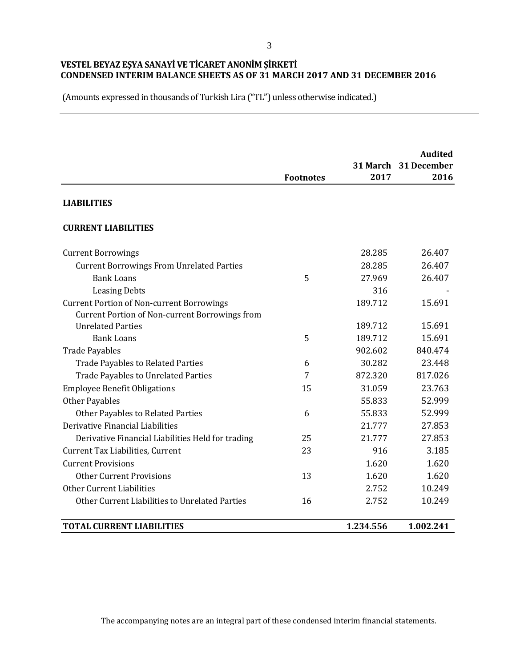(Amounts expressed in thousands of Turkish Lira ("TL") unless otherwise indicated.)

|                                                       |                  |           | <b>Audited</b><br>31 March 31 December |
|-------------------------------------------------------|------------------|-----------|----------------------------------------|
|                                                       | <b>Footnotes</b> | 2017      | 2016                                   |
| <b>LIABILITIES</b>                                    |                  |           |                                        |
| <b>CURRENT LIABILITIES</b>                            |                  |           |                                        |
| <b>Current Borrowings</b>                             |                  | 28.285    | 26.407                                 |
| <b>Current Borrowings From Unrelated Parties</b>      |                  | 28.285    | 26.407                                 |
| <b>Bank Loans</b>                                     | 5                | 27.969    | 26.407                                 |
| <b>Leasing Debts</b>                                  |                  | 316       |                                        |
| <b>Current Portion of Non-current Borrowings</b>      |                  | 189.712   | 15.691                                 |
| <b>Current Portion of Non-current Borrowings from</b> |                  |           |                                        |
| <b>Unrelated Parties</b>                              |                  | 189.712   | 15.691                                 |
| <b>Bank Loans</b>                                     | 5                | 189.712   | 15.691                                 |
| <b>Trade Payables</b>                                 |                  | 902.602   | 840.474                                |
| <b>Trade Payables to Related Parties</b>              | 6                | 30.282    | 23.448                                 |
| <b>Trade Payables to Unrelated Parties</b>            | 7                | 872.320   | 817.026                                |
| <b>Employee Benefit Obligations</b>                   | 15               | 31.059    | 23.763                                 |
| <b>Other Payables</b>                                 |                  | 55.833    | 52.999                                 |
| Other Payables to Related Parties                     | 6                | 55.833    | 52.999                                 |
| Derivative Financial Liabilities                      |                  | 21.777    | 27.853                                 |
| Derivative Financial Liabilities Held for trading     | 25               | 21.777    | 27.853                                 |
| Current Tax Liabilities, Current                      | 23               | 916       | 3.185                                  |
| <b>Current Provisions</b>                             |                  | 1.620     | 1.620                                  |
| <b>Other Current Provisions</b>                       | 13               | 1.620     | 1.620                                  |
| Other Current Liabilities                             |                  | 2.752     | 10.249                                 |
| Other Current Liabilities to Unrelated Parties        | 16               | 2.752     | 10.249                                 |
| <b>TOTAL CURRENT LIABILITIES</b>                      |                  | 1.234.556 | 1.002.241                              |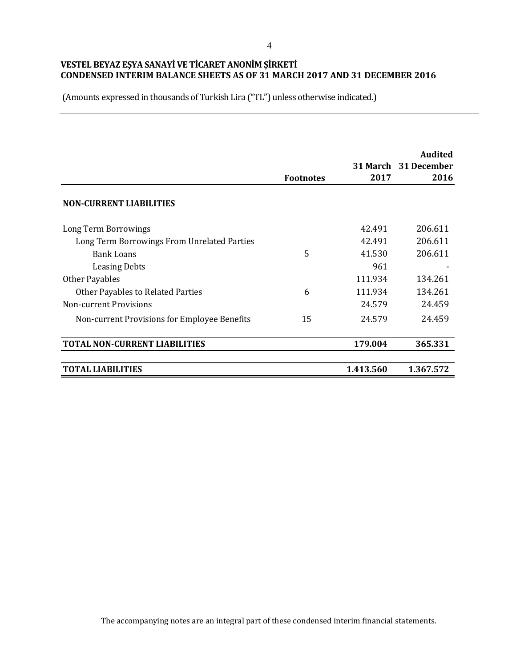|                                              | <b>Footnotes</b> | 2017      | <b>Audited</b><br>31 March 31 December<br>2016 |
|----------------------------------------------|------------------|-----------|------------------------------------------------|
| <b>NON-CURRENT LIABILITIES</b>               |                  |           |                                                |
| Long Term Borrowings                         |                  | 42.491    | 206.611                                        |
| Long Term Borrowings From Unrelated Parties  |                  | 42.491    | 206.611                                        |
| <b>Bank Loans</b>                            | 5                | 41.530    | 206.611                                        |
| <b>Leasing Debts</b>                         |                  | 961       |                                                |
| Other Payables                               |                  | 111.934   | 134.261                                        |
| <b>Other Payables to Related Parties</b>     | 6                | 111.934   | 134.261                                        |
| Non-current Provisions                       |                  | 24.579    | 24.459                                         |
| Non-current Provisions for Employee Benefits | 15               | 24.579    | 24.459                                         |
| <b>TOTAL NON-CURRENT LIABILITIES</b>         |                  | 179.004   | 365.331                                        |
| TOTAL LIABILITIES                            |                  | 1.413.560 | 1.367.572                                      |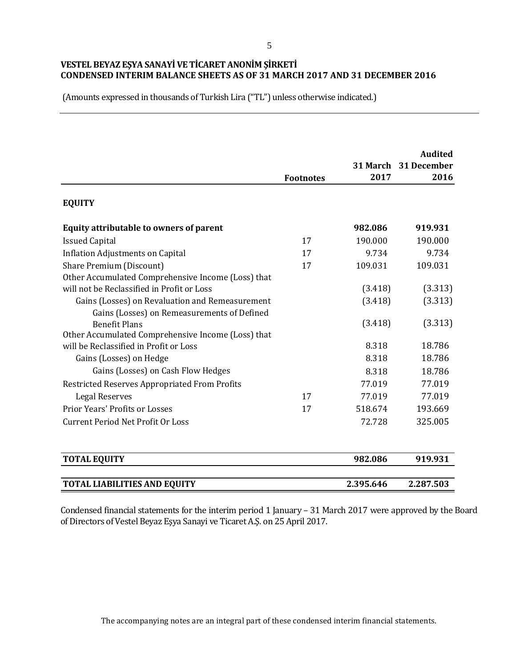(Amounts expressed in thousands of Turkish Lira ("TL") unless otherwise indicated.)

|                                                    | <b>Footnotes</b> | 2017      | <b>Audited</b><br>31 March 31 December<br>2016 |
|----------------------------------------------------|------------------|-----------|------------------------------------------------|
| <b>EQUITY</b>                                      |                  |           |                                                |
| Equity attributable to owners of parent            |                  | 982.086   | 919.931                                        |
| <b>Issued Capital</b>                              | 17               | 190.000   | 190.000                                        |
| <b>Inflation Adjustments on Capital</b>            | 17               | 9.734     | 9.734                                          |
| Share Premium (Discount)                           | 17               | 109.031   | 109.031                                        |
| Other Accumulated Comprehensive Income (Loss) that |                  |           |                                                |
| will not be Reclassified in Profit or Loss         |                  | (3.418)   | (3.313)                                        |
| Gains (Losses) on Revaluation and Remeasurement    |                  | (3.418)   | (3.313)                                        |
| Gains (Losses) on Remeasurements of Defined        |                  |           |                                                |
| <b>Benefit Plans</b>                               |                  | (3.418)   | (3.313)                                        |
| Other Accumulated Comprehensive Income (Loss) that |                  |           |                                                |
| will be Reclassified in Profit or Loss             |                  | 8.318     | 18.786                                         |
| Gains (Losses) on Hedge                            |                  | 8.318     | 18.786                                         |
| Gains (Losses) on Cash Flow Hedges                 |                  | 8.318     | 18.786                                         |
| Restricted Reserves Appropriated From Profits      |                  | 77.019    | 77.019                                         |
| <b>Legal Reserves</b>                              | 17               | 77.019    | 77.019                                         |
| Prior Years' Profits or Losses                     | 17               | 518.674   | 193.669                                        |
| <b>Current Period Net Profit Or Loss</b>           |                  | 72.728    | 325.005                                        |
| <b>TOTAL EQUITY</b>                                |                  | 982.086   | 919.931                                        |
| <b>TOTAL LIABILITIES AND EQUITY</b>                |                  | 2.395.646 | 2.287.503                                      |

Condensed financial statements for the interim period 1 January – 31 March 2017 were approved by the Board of Directors of Vestel Beyaz Eşya Sanayi ve Ticaret A.Ş. on 25 April 2017.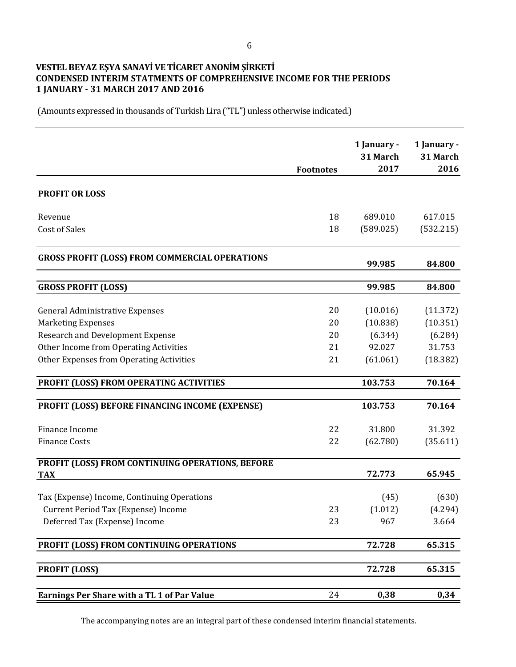## **VESTEL BEYAZ EŞYA SANAYİ VE TİCARET ANONİM ŞİRKETİ CONDENSED INTERIM STATMENTS OF COMPREHENSIVE INCOME FOR THE PERIODS 1 JANUARY - 31 MARCH 2017 AND 2016**

(Amounts expressed in thousands of Turkish Lira ("TL") unless otherwise indicated.)

|                                                                | <b>Footnotes</b> | 1 January -<br>31 March<br>2017 | 1 January -<br>31 March<br>2016 |
|----------------------------------------------------------------|------------------|---------------------------------|---------------------------------|
| <b>PROFIT OR LOSS</b>                                          |                  |                                 |                                 |
|                                                                |                  |                                 |                                 |
| Revenue                                                        | 18               | 689.010                         | 617.015                         |
| <b>Cost of Sales</b>                                           | 18               | (589.025)                       | (532.215)                       |
| <b>GROSS PROFIT (LOSS) FROM COMMERCIAL OPERATIONS</b>          |                  | 99.985                          | 84.800                          |
| <b>GROSS PROFIT (LOSS)</b>                                     |                  | 99.985                          | 84.800                          |
|                                                                |                  |                                 |                                 |
| <b>General Administrative Expenses</b>                         | 20               | (10.016)                        | (11.372)                        |
| <b>Marketing Expenses</b>                                      | 20               | (10.838)                        | (10.351)                        |
| Research and Development Expense                               | 20               | (6.344)                         | (6.284)                         |
| Other Income from Operating Activities                         | 21               | 92.027                          | 31.753                          |
| Other Expenses from Operating Activities                       | 21               | (61.061)                        | (18.382)                        |
| PROFIT (LOSS) FROM OPERATING ACTIVITIES                        |                  | 103.753                         | 70.164                          |
| PROFIT (LOSS) BEFORE FINANCING INCOME (EXPENSE)                |                  | 103.753                         | 70.164                          |
|                                                                |                  |                                 |                                 |
| Finance Income                                                 | 22               | 31.800                          | 31.392                          |
| <b>Finance Costs</b>                                           | 22               | (62.780)                        | (35.611)                        |
| PROFIT (LOSS) FROM CONTINUING OPERATIONS, BEFORE<br><b>TAX</b> |                  | 72.773                          | 65.945                          |
|                                                                |                  |                                 |                                 |
| Tax (Expense) Income, Continuing Operations                    |                  | (45)                            | (630)                           |
| Current Period Tax (Expense) Income                            | 23               | (1.012)                         | (4.294)                         |
| Deferred Tax (Expense) Income                                  | 23               | 967                             | 3.664                           |
| PROFIT (LOSS) FROM CONTINUING OPERATIONS                       |                  | 72.728                          | 65.315                          |
| <b>PROFIT (LOSS)</b>                                           |                  | 72.728                          | 65.315                          |
|                                                                |                  |                                 |                                 |
| <b>Earnings Per Share with a TL 1 of Par Value</b>             | 24               | 0,38                            | 0,34                            |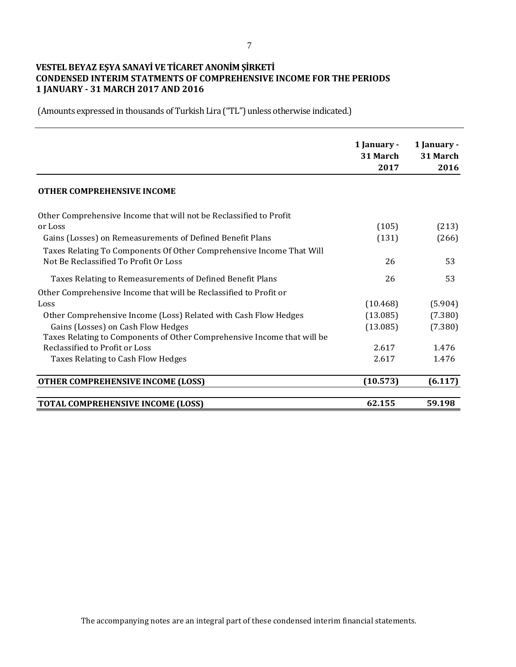# **VESTEL BEYAZ EŞYA SANAYİ VE TİCARET ANONİM ŞİRKETİ CONDENSED INTERIM STATMENTS OF COMPREHENSIVE INCOME FOR THE PERIODS 1 JANUARY - 31 MARCH 2017 AND 2016**

|                                                                         | 1 January - | 1 January - |
|-------------------------------------------------------------------------|-------------|-------------|
|                                                                         | 31 March    | 31 March    |
|                                                                         | 2017        | 2016        |
| <b>OTHER COMPREHENSIVE INCOME</b>                                       |             |             |
| Other Comprehensive Income that will not be Reclassified to Profit      |             |             |
| or Loss                                                                 | (105)       | (213)       |
| Gains (Losses) on Remeasurements of Defined Benefit Plans               | (131)       | (266)       |
| Taxes Relating To Components Of Other Comprehensive Income That Will    |             |             |
| Not Be Reclassified To Profit Or Loss                                   | 26          | 53          |
| Taxes Relating to Remeasurements of Defined Benefit Plans               | 26          | 53          |
| Other Comprehensive Income that will be Reclassified to Profit or       |             |             |
| Loss                                                                    | (10.468)    | (5.904)     |
| Other Comprehensive Income (Loss) Related with Cash Flow Hedges         | (13.085)    | (7.380)     |
| Gains (Losses) on Cash Flow Hedges                                      | (13.085)    | (7.380)     |
| Taxes Relating to Components of Other Comprehensive Income that will be |             |             |
| Reclassified to Profit or Loss                                          | 2.617       | 1.476       |
| Taxes Relating to Cash Flow Hedges                                      | 2.617       | 1.476       |
| <b>OTHER COMPREHENSIVE INCOME (LOSS)</b>                                | (10.573)    | (6.117)     |
| <b>TOTAL COMPREHENSIVE INCOME (LOSS)</b>                                | 62.155      | 59.198      |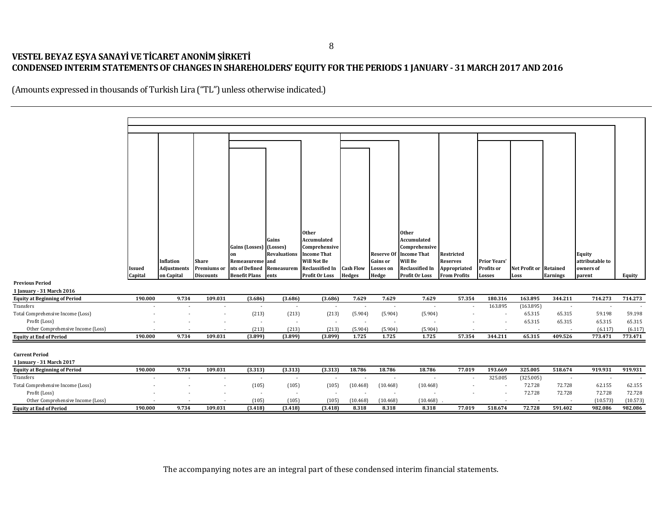# **VESTEL BEYAZ EŞYA SANAYİ VE TİCARET ANONİM ŞİRKETİ CONDENSED INTERIM STATEMENTS OF CHANGES IN SHAREHOLDERS' EQUITY FOR THE PERIODS 1 JANUARY - 31 MARCH 2017 AND 2016**

|                                      |         |                    |                    |                      |                          | <b>Other</b>           |                          |                          | <b>Other</b>           |                     |                     |                        |          |                 |          |
|--------------------------------------|---------|--------------------|--------------------|----------------------|--------------------------|------------------------|--------------------------|--------------------------|------------------------|---------------------|---------------------|------------------------|----------|-----------------|----------|
|                                      |         |                    |                    |                      | Gains                    | Accumulated            |                          |                          | Accumulated            |                     |                     |                        |          |                 |          |
|                                      |         |                    |                    | Gains (Losses)       | (Losses)                 | Comprehensive          |                          |                          | Comprehensive          |                     |                     |                        |          |                 |          |
|                                      |         |                    |                    | on                   | <b>Revaluations</b>      | <b>Income That</b>     |                          | Reserve Of               | <b>Income That</b>     | Restricted          |                     |                        |          | Equity          |          |
|                                      |         | Inflation          | <b>Share</b>       | Remeasureme          | and                      | <b>Will Not Be</b>     |                          | Gains or                 | Will Be                | <b>Reserves</b>     | <b>Prior Years'</b> |                        |          | attributable to |          |
|                                      | Issued  | <b>Adjustments</b> | <b>Premiums</b> or | nts of Defined       | Remeasurem               | <b>Reclassified In</b> | <b>Cash Flow</b>         | Losses on                | <b>Reclassified In</b> | Appropriated        | Profits or          | Net Profit or Retained |          | owners of       |          |
|                                      | Capital | on Capital         | <b>Discounts</b>   | <b>Benefit Plans</b> | ents                     | Profit Or Loss         | <b>Hedges</b>            | Hedge                    | <b>Profit Or Loss</b>  | <b>From Profits</b> | Losses              | Loss                   | Earnings | parent          | Equity   |
| <b>Previous Period</b>               |         |                    |                    |                      |                          |                        |                          |                          |                        |                     |                     |                        |          |                 |          |
| 1 January - 31 March 2016            |         |                    |                    |                      |                          |                        |                          |                          |                        |                     |                     |                        |          |                 |          |
| <b>Equity at Beginning of Period</b> | 190.000 | 9.734              | 109.031            | (3.686)              | (3.686)                  | (3.686)                | 7.629                    | 7.629                    | 7.629                  | 57.354              | 180.316             | 163.895                | 344.211  | 714.273         | 714.273  |
| Transfers                            |         |                    |                    | $\sim$               | $\sim$                   | $\sim$                 | $\overline{\phantom{a}}$ | $\overline{\phantom{a}}$ | $\sim$                 | $\sim$              | 163.895             | (163.895)              | $\sim$   | $\sim$          |          |
| Total Comprehensive Income (Loss)    |         |                    |                    | (213)                | (213)                    | (213)                  | (5.904)                  | (5.904)                  | (5.904)                |                     |                     | 65.315                 | 65.315   | 59.198          | 59.198   |
| Profit (Loss)                        |         |                    |                    | $\sim$               | $\sim$                   | $\sim$                 | $\sim$                   | $\overline{\phantom{a}}$ |                        |                     |                     | 65.315                 | 65.315   | 65.315          | 65.315   |
| Other Comprehensive Income (Loss)    |         |                    |                    | (213)                | (213)                    | (213)                  | (5.904)                  | (5.904)                  | (5.904)                |                     |                     |                        |          | (6.117)         | (6.117)  |
| <b>Equity at End of Period</b>       | 190.000 | 9.734              | 109.031            | (3.899)              | (3.899)                  | (3.899)                | 1.725                    | 1.725                    | 1.725                  | 57.354              | 344.211             | 65.315                 | 409.526  | 773.471         | 773.471  |
|                                      |         |                    |                    |                      |                          |                        |                          |                          |                        |                     |                     |                        |          |                 |          |
| <b>Current Period</b>                |         |                    |                    |                      |                          |                        |                          |                          |                        |                     |                     |                        |          |                 |          |
| 1 January - 31 March 2017            |         |                    |                    |                      |                          |                        |                          |                          |                        |                     |                     |                        |          |                 |          |
| <b>Equity at Beginning of Period</b> | 190.000 | 9.734              | 109.031            | (3.313)              | (3.313)                  | (3.313)                | 18.786                   | 18.786                   | 18.786                 | 77.019              | 193.669             | 325.005                | 518.674  | 919.931         | 919.931  |
| Transfers                            |         |                    |                    | $\sim$               | $\overline{\phantom{a}}$ |                        |                          | $\overline{\phantom{a}}$ |                        |                     | 325.005             | (325.005)              |          | $\sim$          |          |
| Total Comprehensive Income (Loss)    |         |                    |                    | (105)                | (105)                    | (105)                  | (10.468)                 | (10.468)                 | (10.468)               |                     |                     | 72.728                 | 72.728   | 62.155          | 62.155   |
| Profit (Loss)                        |         |                    |                    | $\sim$               | $\overline{\phantom{a}}$ | $\sim$                 | $\overline{\phantom{a}}$ | $\sim$                   |                        |                     |                     | 72.728                 | 72.728   | 72.728          | 72.728   |
| Other Comprehensive Income (Loss)    |         |                    |                    | (105)                | (105)                    | (105)                  | (10.468)                 | (10.468)                 | (10.468)               |                     |                     |                        |          | (10.573)        | (10.573) |
| <b>Equity at End of Period</b>       | 190.000 | 9.734              | 109.031            | (3.418)              | (3.418)                  | (3.418)                | 8.318                    | 8.318                    | 8.318                  | 77.019              | 518.674             | 72.728                 | 591.402  | 982.086         | 982.086  |
|                                      |         |                    |                    |                      |                          |                        |                          |                          |                        |                     |                     |                        |          |                 |          |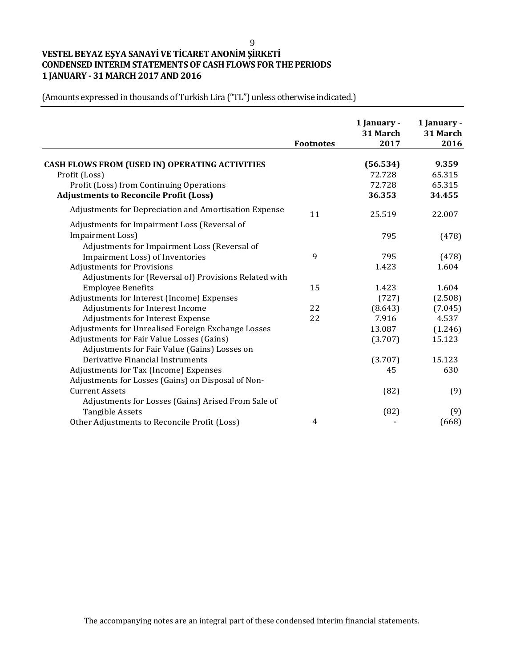#### 9

# **VESTEL BEYAZ EŞYA SANAYİ VE TİCARET ANONİM ŞİRKETİ CONDENSED INTERIM STATEMENTS OF CASH FLOWS FOR THE PERIODS 1 JANUARY - 31 MARCH 2017 AND 2016**

|                                                       |                  | 1 January -<br>31 March | 1 January -<br>31 March |
|-------------------------------------------------------|------------------|-------------------------|-------------------------|
|                                                       | <b>Footnotes</b> | 2017                    | 2016                    |
| <b>CASH FLOWS FROM (USED IN) OPERATING ACTIVITIES</b> |                  | (56.534)                | 9.359                   |
| Profit (Loss)                                         |                  | 72.728                  | 65.315                  |
| Profit (Loss) from Continuing Operations              |                  | 72.728                  | 65.315                  |
| <b>Adjustments to Reconcile Profit (Loss)</b>         |                  | 36.353                  | 34.455                  |
| Adjustments for Depreciation and Amortisation Expense | 11               | 25.519                  | 22.007                  |
| Adjustments for Impairment Loss (Reversal of          |                  |                         |                         |
| <b>Impairment Loss)</b>                               |                  | 795                     | (478)                   |
| Adjustments for Impairment Loss (Reversal of          |                  |                         |                         |
| Impairment Loss) of Inventories                       | 9                | 795                     | (478)                   |
| <b>Adjustments for Provisions</b>                     |                  | 1.423                   | 1.604                   |
| Adjustments for (Reversal of) Provisions Related with |                  |                         |                         |
| <b>Employee Benefits</b>                              | 15               | 1.423                   | 1.604                   |
| Adjustments for Interest (Income) Expenses            |                  | (727)                   | (2.508)                 |
| Adjustments for Interest Income                       | 22               | (8.643)                 | (7.045)                 |
| Adjustments for Interest Expense                      | 22               | 7.916                   | 4.537                   |
| Adjustments for Unrealised Foreign Exchange Losses    |                  | 13.087                  | (1.246)                 |
| Adjustments for Fair Value Losses (Gains)             |                  | (3.707)                 | 15.123                  |
| Adjustments for Fair Value (Gains) Losses on          |                  |                         |                         |
| Derivative Financial Instruments                      |                  | (3.707)                 | 15.123                  |
| Adjustments for Tax (Income) Expenses                 |                  | 45                      | 630                     |
| Adjustments for Losses (Gains) on Disposal of Non-    |                  |                         |                         |
| <b>Current Assets</b>                                 |                  | (82)                    | (9)                     |
| Adjustments for Losses (Gains) Arised From Sale of    |                  |                         |                         |
| <b>Tangible Assets</b>                                |                  | (82)                    | (9)                     |
| Other Adjustments to Reconcile Profit (Loss)          | 4                |                         | (668)                   |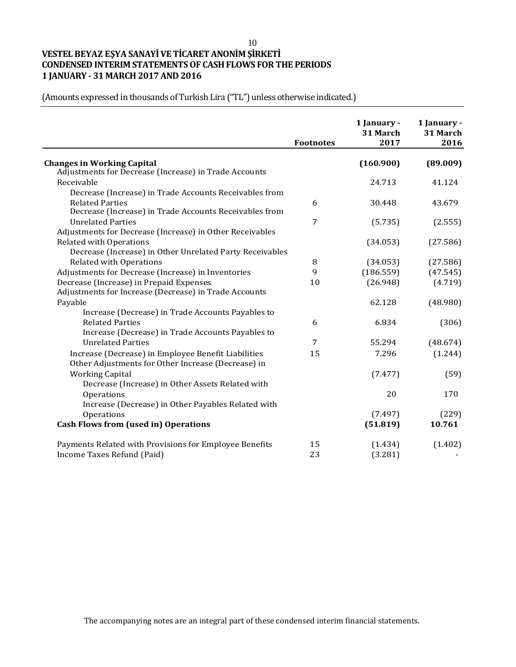#### 10

# **VESTEL BEYAZ EŞYA SANAYİ VE TİCARET ANONİM ŞİRKETİ CONDENSED INTERIM STATEMENTS OF CASH FLOWS FOR THE PERIODS 1 JANUARY - 31 MARCH 2017 AND 2016**

|                                                          | <b>Footnotes</b> | 1 January -<br>31 March<br>2017 | 1 January -<br>31 March<br>2016 |
|----------------------------------------------------------|------------------|---------------------------------|---------------------------------|
| <b>Changes in Working Capital</b>                        |                  | (160.900)                       | (89.009)                        |
| Adjustments for Decrease (Increase) in Trade Accounts    |                  |                                 |                                 |
| Receivable                                               |                  | 24.713                          | 41.124                          |
| Decrease (Increase) in Trade Accounts Receivables from   |                  |                                 |                                 |
| <b>Related Parties</b>                                   | 6                | 30.448                          | 43.679                          |
| Decrease (Increase) in Trade Accounts Receivables from   |                  |                                 |                                 |
| <b>Unrelated Parties</b>                                 | 7                | (5.735)                         | (2.555)                         |
| Adjustments for Decrease (Increase) in Other Receivables |                  |                                 |                                 |
| <b>Related with Operations</b>                           |                  | (34.053)                        | (27.586)                        |
| Decrease (Increase) in Other Unrelated Party Receivables |                  |                                 |                                 |
| <b>Related with Operations</b>                           | 8                | (34.053)                        | (27.586)                        |
| Adjustments for Decrease (Increase) in Inventories       | 9                | (186.559)                       | (47.545)                        |
| Decrease (Increase) in Prepaid Expenses                  | 10               | (26.948)                        | (4.719)                         |
| Adjustments for Increase (Decrease) in Trade Accounts    |                  |                                 |                                 |
| Payable                                                  |                  | 62.128                          | (48.980)                        |
| Increase (Decrease) in Trade Accounts Payables to        |                  |                                 |                                 |
| <b>Related Parties</b>                                   | 6                | 6.834                           | (306)                           |
| Increase (Decrease) in Trade Accounts Payables to        |                  |                                 |                                 |
| <b>Unrelated Parties</b>                                 | 7                | 55.294                          | (48.674)                        |
| Increase (Decrease) in Employee Benefit Liabilities      | 15               | 7.296                           | (1.244)                         |
| Other Adjustments for Other Increase (Decrease) in       |                  |                                 |                                 |
| <b>Working Capital</b>                                   |                  | (7.477)                         | (59)                            |
| Decrease (Increase) in Other Assets Related with         |                  |                                 |                                 |
| Operations                                               |                  | 20                              | 170                             |
| Increase (Decrease) in Other Payables Related with       |                  |                                 |                                 |
| Operations                                               |                  | (7.497)                         | (229)                           |
| <b>Cash Flows from (used in) Operations</b>              |                  | (51.819)                        | 10.761                          |
| Payments Related with Provisions for Employee Benefits   | 15               | (1.434)                         | (1.402)                         |
| Income Taxes Refund (Paid)                               | 23               | (3.281)                         |                                 |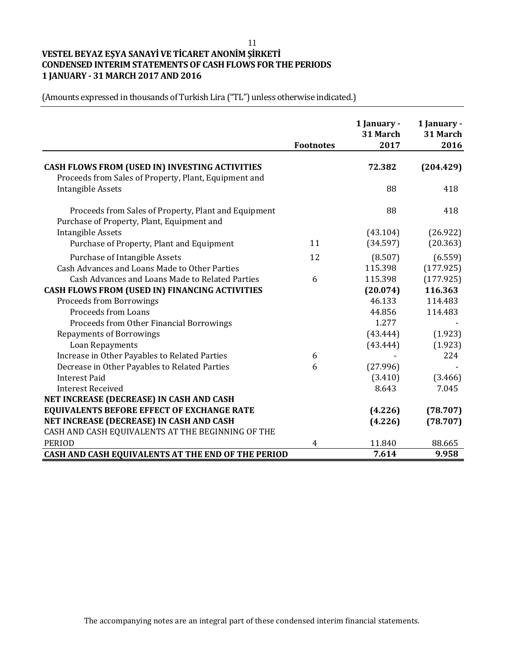11

# **VESTEL BEYAZ EŞYA SANAYİ VE TİCARET ANONİM ŞİRKETİ CONDENSED INTERIM STATEMENTS OF CASH FLOWS FOR THE PERIODS 1 JANUARY - 31 MARCH 2017 AND 2016**

|                                                                                                                | <b>Footnotes</b> | 1 January -<br>31 March<br>2017 | 1 January -<br>31 March<br>2016 |
|----------------------------------------------------------------------------------------------------------------|------------------|---------------------------------|---------------------------------|
| <b>CASH FLOWS FROM (USED IN) INVESTING ACTIVITIES</b><br>Proceeds from Sales of Property, Plant, Equipment and |                  | 72.382                          | (204.429)                       |
| <b>Intangible Assets</b>                                                                                       |                  | 88                              | 418                             |
| Proceeds from Sales of Property, Plant and Equipment<br>Purchase of Property, Plant, Equipment and             |                  | 88                              | 418                             |
| <b>Intangible Assets</b>                                                                                       |                  | (43.104)                        | (26.922)                        |
| Purchase of Property, Plant and Equipment                                                                      | 11               | (34.597)                        | (20.363)                        |
| Purchase of Intangible Assets                                                                                  | 12               | (8.507)                         | (6.559)                         |
| Cash Advances and Loans Made to Other Parties                                                                  |                  | 115.398                         | (177.925)                       |
| Cash Advances and Loans Made to Related Parties                                                                | 6                | 115.398                         | (177.925)                       |
| CASH FLOWS FROM (USED IN) FINANCING ACTIVITIES                                                                 |                  | (20.074)                        | 116.363                         |
| <b>Proceeds from Borrowings</b>                                                                                |                  | 46.133                          | 114.483                         |
| <b>Proceeds from Loans</b>                                                                                     |                  | 44.856                          | 114.483                         |
| Proceeds from Other Financial Borrowings                                                                       |                  | 1.277                           |                                 |
| <b>Repayments of Borrowings</b>                                                                                |                  | (43.444)                        | (1.923)                         |
| Loan Repayments                                                                                                |                  | (43.444)                        | (1.923)                         |
| Increase in Other Payables to Related Parties                                                                  | 6                |                                 | 224                             |
| Decrease in Other Payables to Related Parties                                                                  | 6                | (27.996)                        |                                 |
| <b>Interest Paid</b>                                                                                           |                  | (3.410)                         | (3.466)                         |
| <b>Interest Received</b>                                                                                       |                  | 8.643                           | 7.045                           |
| NET INCREASE (DECREASE) IN CASH AND CASH                                                                       |                  |                                 |                                 |
| <b>EQUIVALENTS BEFORE EFFECT OF EXCHANGE RATE</b>                                                              |                  | (4.226)                         | (78.707)                        |
| NET INCREASE (DECREASE) IN CASH AND CASH                                                                       |                  | (4.226)                         | (78.707)                        |
| CASH AND CASH EQUIVALENTS AT THE BEGINNING OF THE                                                              |                  |                                 |                                 |
| <b>PERIOD</b>                                                                                                  | 4                | 11.840                          | 88.665                          |
| CASH AND CASH EQUIVALENTS AT THE END OF THE PERIOD                                                             |                  | 7.614                           | 9.958                           |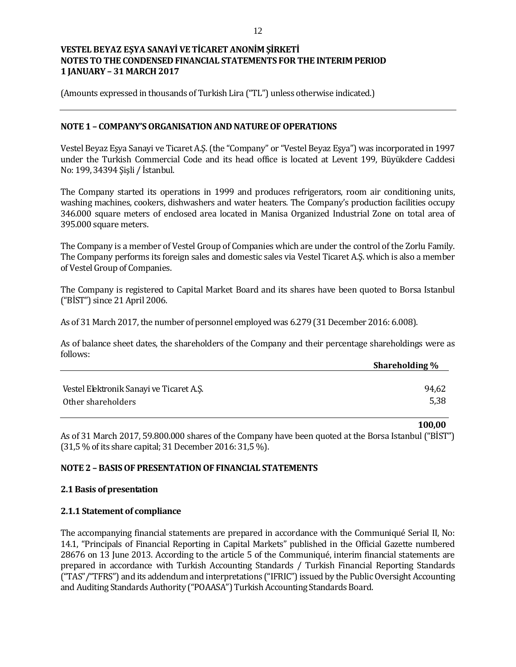(Amounts expressed in thousands of Turkish Lira ("TL") unless otherwise indicated.)

#### **NOTE 1 – COMPANY'S ORGANISATION AND NATURE OF OPERATIONS**

Vestel Beyaz Eşya Sanayi ve Ticaret A.Ş. (the "Company" or "Vestel Beyaz Eşya") was incorporated in 1997 under the Turkish Commercial Code and its head office is located at Levent 199, Büyükdere Caddesi No: 199, 34394 Şişli / İstanbul.

The Company started its operations in 1999 and produces refrigerators, room air conditioning units, washing machines, cookers, dishwashers and water heaters. The Company's production facilities occupy 346.000 square meters of enclosed area located in Manisa Organized Industrial Zone on total area of 395.000 square meters.

The Company is a member of Vestel Group of Companies which are under the control of the Zorlu Family. The Company performs its foreign sales and domestic sales via Vestel Ticaret A.Ş. which is also a member of Vestel Group of Companies.

The Company is registered to Capital Market Board and its shares have been quoted to Borsa Istanbul ("BİST") since 21 April 2006.

As of 31 March 2017, the number of personnel employed was 6.279 (31 December 2016: 6.008).

As of balance sheet dates, the shareholders of the Company and their percentage shareholdings were as follows:

|                                          | <b>Shareholding</b> % |
|------------------------------------------|-----------------------|
|                                          |                       |
| Vestel Elektronik Sanayi ve Ticaret A.Ş. | 94,62                 |
| Other shareholders                       | 5,38                  |

As of 31 March 2017, 59.800.000 shares of the Company have been quoted at the Borsa Istanbul ("BİST") (31,5 % of its share capital; 31 December 2016: 31,5 %).

**100,00**

#### **NOTE 2 – BASIS OF PRESENTATION OF FINANCIAL STATEMENTS**

#### **2.1 Basis of presentation**

#### **2.1.1 Statement of compliance**

The accompanying financial statements are prepared in accordance with the Communiqué Serial II, No: 14.1, "Principals of Financial Reporting in Capital Markets" published in the Official Gazette numbered 28676 on 13 June 2013. According to the article 5 of the Communiqué, interim financial statements are prepared in accordance with Turkish Accounting Standards / Turkish Financial Reporting Standards ("TAS"/"TFRS") and its addendum and interpretations ("IFRIC") issued by the Public Oversight Accounting and Auditing Standards Authority ("POAASA") Turkish Accounting Standards Board.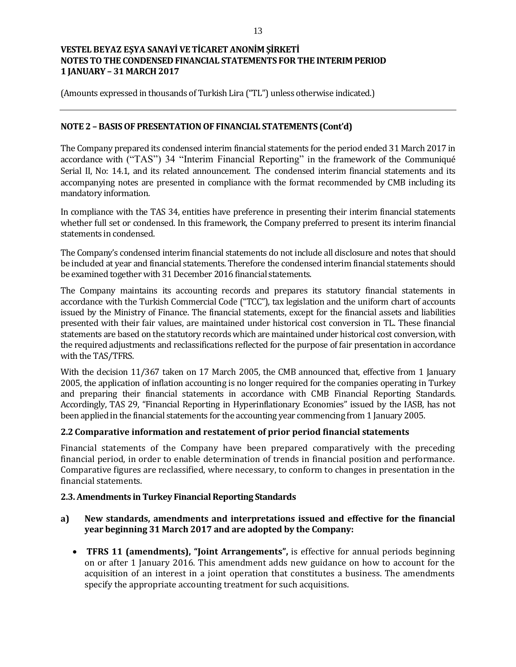(Amounts expressed in thousands of Turkish Lira ("TL") unless otherwise indicated.)

## **NOTE 2 – BASIS OF PRESENTATION OF FINANCIAL STATEMENTS (Cont'd)**

The Company prepared its condensed interim financial statements for the period ended 31 March 2017 in accordance with ("TAS") 34 "Interim Financial Reporting" in the framework of the Communiqué Serial II, No: 14.1, and its related announcement. The condensed interim financial statements and its accompanying notes are presented in compliance with the format recommended by CMB including its mandatory information.

In compliance with the TAS 34, entities have preference in presenting their interim financial statements whether full set or condensed. In this framework, the Company preferred to present its interim financial statements in condensed.

The Company's condensed interim financial statements do not include all disclosure and notes that should be included at year and financial statements. Therefore the condensed interim financial statements should be examined together with 31 December 2016 financial statements.

The Company maintains its accounting records and prepares its statutory financial statements in accordance with the Turkish Commercial Code ("TCC"), tax legislation and the uniform chart of accounts issued by the Ministry of Finance. The financial statements, except for the financial assets and liabilities presented with their fair values, are maintained under historical cost conversion in TL. These financial statements are based on the statutory records which are maintained under historical cost conversion, with the required adjustments and reclassifications reflected for the purpose of fair presentation in accordance with the TAS/TFRS.

With the decision 11/367 taken on 17 March 2005, the CMB announced that, effective from 1 January 2005, the application of inflation accounting is no longer required for the companies operating in Turkey and preparing their financial statements in accordance with CMB Financial Reporting Standards. Accordingly, TAS 29, "Financial Reporting in Hyperinflationary Economies" issued by the IASB, has not been applied in the financial statements for the accounting year commencing from 1 January 2005.

#### **2.2 Comparative information and restatement of prior period financial statements**

Financial statements of the Company have been prepared comparatively with the preceding financial period, in order to enable determination of trends in financial position and performance. Comparative figures are reclassified, where necessary, to conform to changes in presentation in the financial statements.

#### **2.3. Amendments in Turkey Financial Reporting Standards**

## **a) New standards, amendments and interpretations issued and effective for the financial year beginning 31 March 2017 and are adopted by the Company:**

 **TFRS 11 (amendments), "Joint Arrangements",** is effective for annual periods beginning on or after 1 January 2016. This amendment adds new guidance on how to account for the acquisition of an interest in a joint operation that constitutes a business. The amendments specify the appropriate accounting treatment for such acquisitions.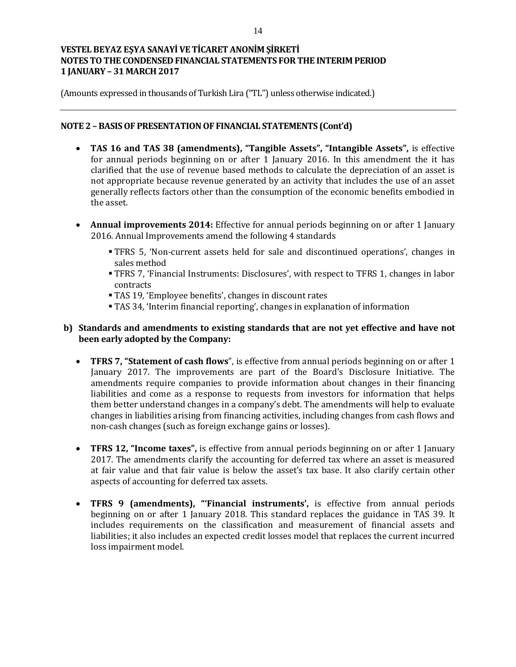(Amounts expressed in thousands of Turkish Lira ("TL") unless otherwise indicated.)

## **NOTE 2 – BASIS OF PRESENTATION OF FINANCIAL STATEMENTS (Cont'd)**

- **TAS 16 and TAS 38 (amendments), "Tangible Assets", "Intangible Assets",** is effective for annual periods beginning on or after 1 January 2016. In this amendment the it has clarified that the use of revenue based methods to calculate the depreciation of an asset is not appropriate because revenue generated by an activity that includes the use of an asset generally reflects factors other than the consumption of the economic benefits embodied in the asset.
- **Annual improvements 2014:** Effective for annual periods beginning on or after 1 January 2016. Annual Improvements amend the following 4 standards
	- TFRS 5, 'Non-current assets held for sale and discontinued operations', changes in sales method
	- TFRS 7, 'Financial Instruments: Disclosures', with respect to TFRS 1, changes in labor contracts
	- TAS 19, 'Employee benefits', changes in discount rates
	- TAS 34, 'Interim financial reporting', changes in explanation of information

## **b) Standards and amendments to existing standards that are not yet effective and have not been early adopted by the Company:**

- **TFRS 7, "Statement of cash flows**", is effective from annual periods beginning on or after 1 January 2017. The improvements are part of the Board's Disclosure Initiative. The amendments require companies to provide information about changes in their financing liabilities and come as a response to requests from investors for information that helps them better understand changes in a company's debt. The amendments will help to evaluate changes in liabilities arising from financing activities, including changes from cash flows and non-cash changes (such as foreign exchange gains or losses).
- **TFRS 12, "Income taxes",** is effective from annual periods beginning on or after 1 January 2017. The amendments clarify the accounting for deferred tax where an asset is measured at fair value and that fair value is below the asset's tax base. It also clarify certain other aspects of accounting for deferred tax assets.
- **TFRS 9 (amendments), "'Financial instruments',** is effective from annual periods beginning on or after 1 January 2018. This standard replaces the guidance in TAS 39. It includes requirements on the classification and measurement of financial assets and liabilities; it also includes an expected credit losses model that replaces the current incurred loss impairment model.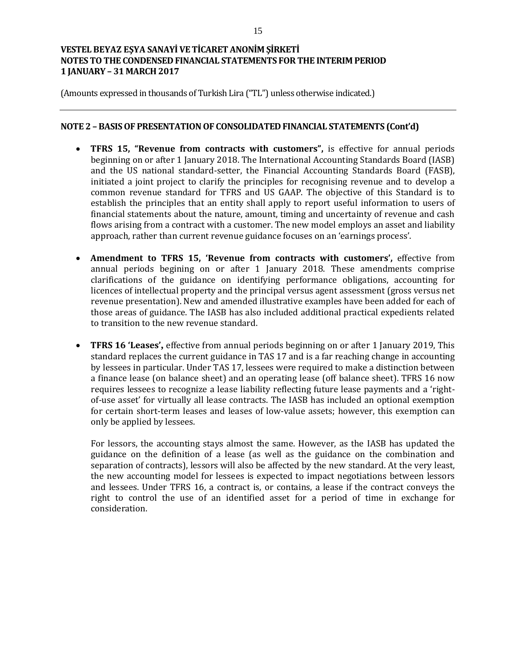(Amounts expressed in thousands of Turkish Lira ("TL") unless otherwise indicated.)

#### **NOTE 2 – BASIS OF PRESENTATION OF CONSOLIDATED FINANCIAL STATEMENTS (Cont'd)**

- **TFRS 15, "Revenue from contracts with customers",** is effective for annual periods beginning on or after 1 January 2018. The International Accounting Standards Board (IASB) and the US national standard-setter, the Financial Accounting Standards Board (FASB), initiated a joint project to clarify the principles for recognising revenue and to develop a common revenue standard for TFRS and US GAAP. The objective of this Standard is to establish the principles that an entity shall apply to report useful information to users of financial statements about the nature, amount, timing and uncertainty of revenue and cash flows arising from a contract with a customer. The new model employs an asset and liability approach, rather than current revenue guidance focuses on an 'earnings process'.
- **Amendment to TFRS 15, 'Revenue from contracts with customers',** effective from annual periods begining on or after 1 January 2018. These amendments comprise clarifications of the guidance on identifying performance obligations, accounting for licences of intellectual property and the principal versus agent assessment (gross versus net revenue presentation). New and amended illustrative examples have been added for each of those areas of guidance. The IASB has also included additional practical expedients related to transition to the new revenue standard.
- **TFRS 16 'Leases',** effective from annual periods beginning on or after 1 January 2019, This standard replaces the current guidance in TAS 17 and is a far reaching change in accounting by lessees in particular. Under TAS 17, lessees were required to make a distinction between a finance lease (on balance sheet) and an operating lease (off balance sheet). TFRS 16 now requires lessees to recognize a lease liability reflecting future lease payments and a 'rightof-use asset' for virtually all lease contracts. The IASB has included an optional exemption for certain short-term leases and leases of low-value assets; however, this exemption can only be applied by lessees.

For lessors, the accounting stays almost the same. However, as the IASB has updated the guidance on the definition of a lease (as well as the guidance on the combination and separation of contracts), lessors will also be affected by the new standard. At the very least, the new accounting model for lessees is expected to impact negotiations between lessors and lessees. Under TFRS 16, a contract is, or contains, a lease if the contract conveys the right to control the use of an identified asset for a period of time in exchange for consideration.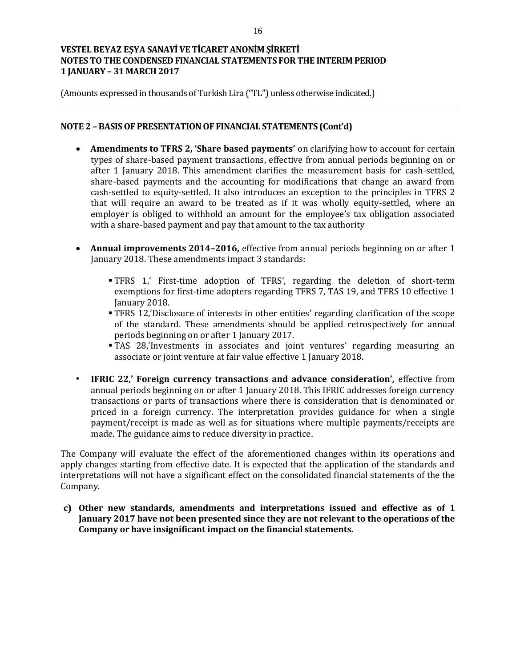(Amounts expressed in thousands of Turkish Lira ("TL") unless otherwise indicated.)

### **NOTE 2 – BASIS OF PRESENTATION OF FINANCIAL STATEMENTS (Cont'd)**

- **Amendments to TFRS 2, 'Share based payments'** on clarifying how to account for certain types of share-based payment transactions, effective from annual periods beginning on or after 1 January 2018. This amendment clarifies the measurement basis for cash-settled, share-based payments and the accounting for modifications that change an award from cash-settled to equity-settled. It also introduces an exception to the principles in TFRS 2 that will require an award to be treated as if it was wholly equity-settled, where an employer is obliged to withhold an amount for the employee's tax obligation associated with a share-based payment and pay that amount to the tax authority
- **Annual improvements 2014–2016,** effective from annual periods beginning on or after 1 January 2018. These amendments impact 3 standards:
	- TFRS 1,' First-time adoption of TFRS', regarding the deletion of short-term exemptions for first-time adopters regarding TFRS 7, TAS 19, and TFRS 10 effective 1 January 2018.
	- TFRS 12,'Disclosure of interests in other entities' regarding clarification of the scope of the standard. These amendments should be applied retrospectively for annual periods beginning on or after 1 January 2017.
	- TAS 28,'Investments in associates and joint ventures' regarding measuring an associate or joint venture at fair value effective 1 January 2018.
- **IFRIC 22,' Foreign currency transactions and advance consideration',** effective from annual periods beginning on or after 1 January 2018. This IFRIC addresses foreign currency transactions or parts of transactions where there is consideration that is denominated or priced in a foreign currency. The interpretation provides guidance for when a single payment/receipt is made as well as for situations where multiple payments/receipts are made. The guidance aims to reduce diversity in practice.

The Company will evaluate the effect of the aforementioned changes within its operations and apply changes starting from effective date. It is expected that the application of the standards and interpretations will not have a significant effect on the consolidated financial statements of the the Company.

**c) Other new standards, amendments and interpretations issued and effective as of 1 January 2017 have not been presented since they are not relevant to the operations of the Company or have insignificant impact on the financial statements.**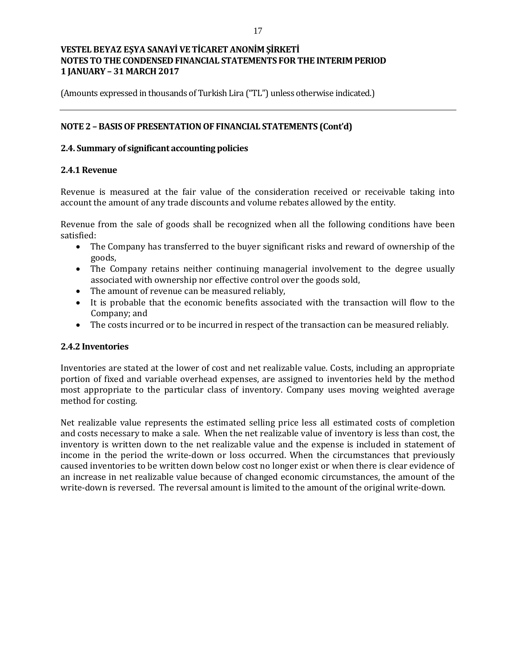(Amounts expressed in thousands of Turkish Lira ("TL") unless otherwise indicated.)

## **NOTE 2 – BASIS OF PRESENTATION OF FINANCIAL STATEMENTS (Cont'd)**

### **2.4. Summary of significant accounting policies**

### **2.4.1 Revenue**

Revenue is measured at the fair value of the consideration received or receivable taking into account the amount of any trade discounts and volume rebates allowed by the entity.

Revenue from the sale of goods shall be recognized when all the following conditions have been satisfied:

- The Company has transferred to the buyer significant risks and reward of ownership of the goods,
- The Company retains neither continuing managerial involvement to the degree usually associated with ownership nor effective control over the goods sold,
- The amount of revenue can be measured reliably,
- It is probable that the economic benefits associated with the transaction will flow to the Company; and
- The costs incurred or to be incurred in respect of the transaction can be measured reliably.

#### **2.4.2 Inventories**

Inventories are stated at the lower of cost and net realizable value. Costs, including an appropriate portion of fixed and variable overhead expenses, are assigned to inventories held by the method most appropriate to the particular class of inventory. Company uses moving weighted average method for costing.

Net realizable value represents the estimated selling price less all estimated costs of completion and costs necessary to make a sale. When the net realizable value of inventory is less than cost, the inventory is written down to the net realizable value and the expense is included in statement of income in the period the write-down or loss occurred. When the circumstances that previously caused inventories to be written down below cost no longer exist or when there is clear evidence of an increase in net realizable value because of changed economic circumstances, the amount of the write-down is reversed. The reversal amount is limited to the amount of the original write-down.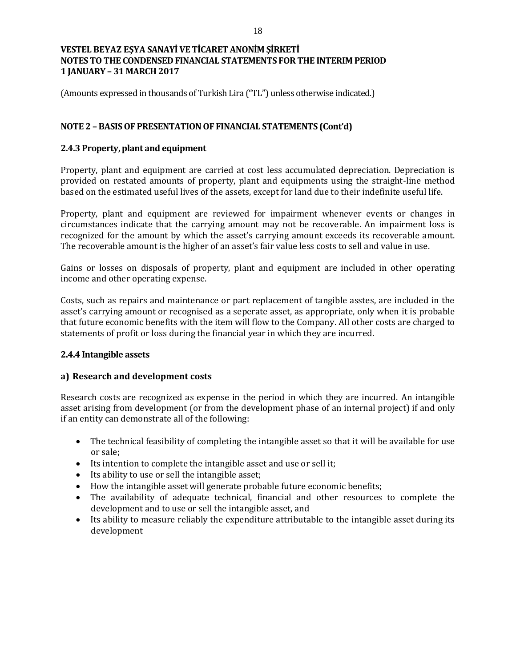(Amounts expressed in thousands of Turkish Lira ("TL") unless otherwise indicated.)

## **NOTE 2 – BASIS OF PRESENTATION OF FINANCIAL STATEMENTS (Cont'd)**

## **2.4.3 Property, plant and equipment**

Property, plant and equipment are carried at cost less accumulated depreciation. Depreciation is provided on restated amounts of property, plant and equipments using the straight-line method based on the estimated useful lives of the assets, except for land due to their indefinite useful life.

Property, plant and equipment are reviewed for impairment whenever events or changes in circumstances indicate that the carrying amount may not be recoverable. An impairment loss is recognized for the amount by which the asset's carrying amount exceeds its recoverable amount. The recoverable amount is the higher of an asset's fair value less costs to sell and value in use.

Gains or losses on disposals of property, plant and equipment are included in other operating income and other operating expense.

Costs, such as repairs and maintenance or part replacement of tangible asstes, are included in the asset's carrying amount or recognised as a seperate asset, as appropriate, only when it is probable that future economic benefits with the item will flow to the Company. All other costs are charged to statements of profit or loss during the financial year in which they are incurred.

#### **2.4.4 Intangible assets**

#### **a) Research and development costs**

Research costs are recognized as expense in the period in which they are incurred. An intangible asset arising from development (or from the development phase of an internal project) if and only if an entity can demonstrate all of the following:

- The technical feasibility of completing the intangible asset so that it will be available for use or sale;
- Its intention to complete the intangible asset and use or sell it;
- Its ability to use or sell the intangible asset;
- How the intangible asset will generate probable future economic benefits;
- The availability of adequate technical, financial and other resources to complete the development and to use or sell the intangible asset, and
- Its ability to measure reliably the expenditure attributable to the intangible asset during its development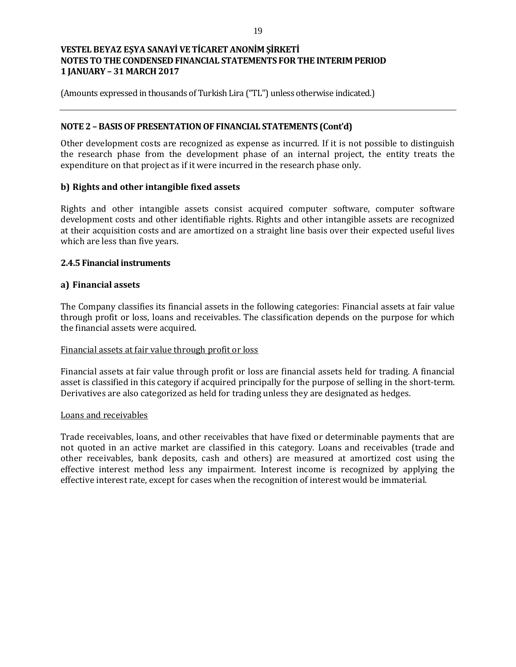(Amounts expressed in thousands of Turkish Lira ("TL") unless otherwise indicated.)

### **NOTE 2 – BASIS OF PRESENTATION OF FINANCIAL STATEMENTS (Cont'd)**

Other development costs are recognized as expense as incurred. If it is not possible to distinguish the research phase from the development phase of an internal project, the entity treats the expenditure on that project as if it were incurred in the research phase only.

## **b) Rights and other intangible fixed assets**

Rights and other intangible assets consist acquired computer software, computer software development costs and other identifiable rights. Rights and other intangible assets are recognized at their acquisition costs and are amortized on a straight line basis over their expected useful lives which are less than five years.

## **2.4.5 Financial instruments**

## **a) Financial assets**

The Company classifies its financial assets in the following categories: Financial assets at fair value through profit or loss, loans and receivables. The classification depends on the purpose for which the financial assets were acquired.

#### Financial assets at fair value through profit or loss

Financial assets at fair value through profit or loss are financial assets held for trading. A financial asset is classified in this category if acquired principally for the purpose of selling in the short-term. Derivatives are also categorized as held for trading unless they are designated as hedges.

#### Loans and receivables

Trade receivables, loans, and other receivables that have fixed or determinable payments that are not quoted in an active market are classified in this category. Loans and receivables (trade and other receivables, bank deposits, cash and others) are measured at amortized cost using the effective interest method less any impairment. Interest income is recognized by applying the effective interest rate, except for cases when the recognition of interest would be immaterial.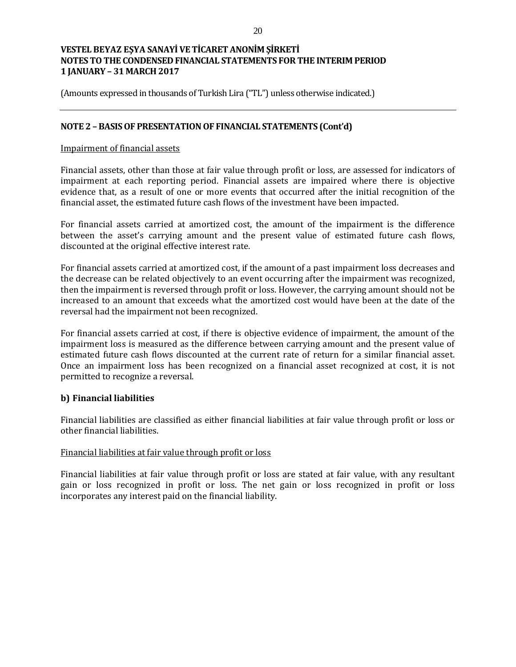(Amounts expressed in thousands of Turkish Lira ("TL") unless otherwise indicated.)

### **NOTE 2 – BASIS OF PRESENTATION OF FINANCIAL STATEMENTS (Cont'd)**

#### Impairment of financial assets

Financial assets, other than those at fair value through profit or loss, are assessed for indicators of impairment at each reporting period. Financial assets are impaired where there is objective evidence that, as a result of one or more events that occurred after the initial recognition of the financial asset, the estimated future cash flows of the investment have been impacted.

For financial assets carried at amortized cost, the amount of the impairment is the difference between the asset's carrying amount and the present value of estimated future cash flows, discounted at the original effective interest rate.

For financial assets carried at amortized cost, if the amount of a past impairment loss decreases and the decrease can be related objectively to an event occurring after the impairment was recognized, then the impairment is reversed through profit or loss. However, the carrying amount should not be increased to an amount that exceeds what the amortized cost would have been at the date of the reversal had the impairment not been recognized.

For financial assets carried at cost, if there is objective evidence of impairment, the amount of the impairment loss is measured as the difference between carrying amount and the present value of estimated future cash flows discounted at the current rate of return for a similar financial asset. Once an impairment loss has been recognized on a financial asset recognized at cost, it is not permitted to recognize a reversal.

#### **b) Financial liabilities**

Financial liabilities are classified as either financial liabilities at fair value through profit or loss or other financial liabilities.

#### Financial liabilities at fair value through profit or loss

Financial liabilities at fair value through profit or loss are stated at fair value, with any resultant gain or loss recognized in profit or loss. The net gain or loss recognized in profit or loss incorporates any interest paid on the financial liability.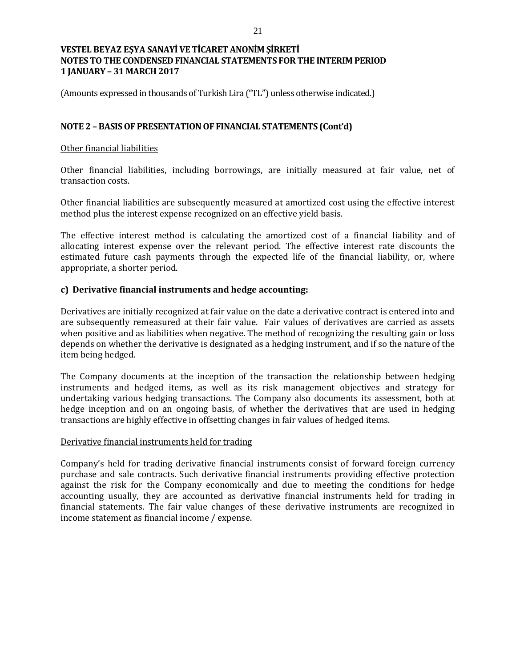(Amounts expressed in thousands of Turkish Lira ("TL") unless otherwise indicated.)

### **NOTE 2 – BASIS OF PRESENTATION OF FINANCIAL STATEMENTS (Cont'd)**

#### Other financial liabilities

Other financial liabilities, including borrowings, are initially measured at fair value, net of transaction costs.

Other financial liabilities are subsequently measured at amortized cost using the effective interest method plus the interest expense recognized on an effective yield basis.

The effective interest method is calculating the amortized cost of a financial liability and of allocating interest expense over the relevant period. The effective interest rate discounts the estimated future cash payments through the expected life of the financial liability, or, where appropriate, a shorter period.

## **c) Derivative financial instruments and hedge accounting:**

Derivatives are initially recognized at fair value on the date a derivative contract is entered into and are subsequently remeasured at their fair value. Fair values of derivatives are carried as assets when positive and as liabilities when negative. The method of recognizing the resulting gain or loss depends on whether the derivative is designated as a hedging instrument, and if so the nature of the item being hedged.

The Company documents at the inception of the transaction the relationship between hedging instruments and hedged items, as well as its risk management objectives and strategy for undertaking various hedging transactions. The Company also documents its assessment, both at hedge inception and on an ongoing basis, of whether the derivatives that are used in hedging transactions are highly effective in offsetting changes in fair values of hedged items.

#### Derivative financial instruments held for trading

Company's held for trading derivative financial instruments consist of forward foreign currency purchase and sale contracts. Such derivative financial instruments providing effective protection against the risk for the Company economically and due to meeting the conditions for hedge accounting usually, they are accounted as derivative financial instruments held for trading in financial statements. The fair value changes of these derivative instruments are recognized in income statement as financial income / expense.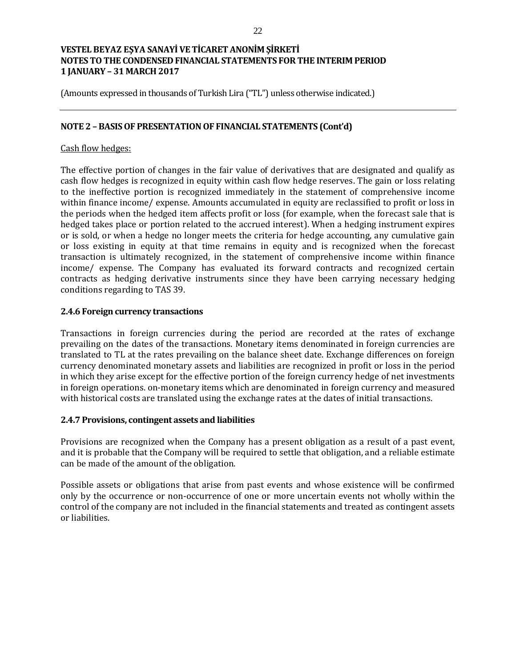(Amounts expressed in thousands of Turkish Lira ("TL") unless otherwise indicated.)

### **NOTE 2 – BASIS OF PRESENTATION OF FINANCIAL STATEMENTS (Cont'd)**

#### Cash flow hedges:

The effective portion of changes in the fair value of derivatives that are designated and qualify as cash flow hedges is recognized in equity within cash flow hedge reserves. The gain or loss relating to the ineffective portion is recognized immediately in the statement of comprehensive income within finance income/ expense. Amounts accumulated in equity are reclassified to profit or loss in the periods when the hedged item affects profit or loss (for example, when the forecast sale that is hedged takes place or portion related to the accrued interest). When a hedging instrument expires or is sold, or when a hedge no longer meets the criteria for hedge accounting, any cumulative gain or loss existing in equity at that time remains in equity and is recognized when the forecast transaction is ultimately recognized, in the statement of comprehensive income within finance income/ expense. The Company has evaluated its forward contracts and recognized certain contracts as hedging derivative instruments since they have been carrying necessary hedging conditions regarding to TAS 39.

#### **2.4.6 Foreign currency transactions**

Transactions in foreign currencies during the period are recorded at the rates of exchange prevailing on the dates of the transactions. Monetary items denominated in foreign currencies are translated to TL at the rates prevailing on the balance sheet date. Exchange differences on foreign currency denominated monetary assets and liabilities are recognized in profit or loss in the period in which they arise except for the effective portion of the foreign currency hedge of net investments in foreign operations. on-monetary items which are denominated in foreign currency and measured with historical costs are translated using the exchange rates at the dates of initial transactions.

#### **2.4.7 Provisions, contingent assets and liabilities**

Provisions are recognized when the Company has a present obligation as a result of a past event, and it is probable that the Company will be required to settle that obligation, and a reliable estimate can be made of the amount of the obligation.

Possible assets or obligations that arise from past events and whose existence will be confirmed only by the occurrence or non-occurrence of one or more uncertain events not wholly within the control of the company are not included in the financial statements and treated as contingent assets or liabilities.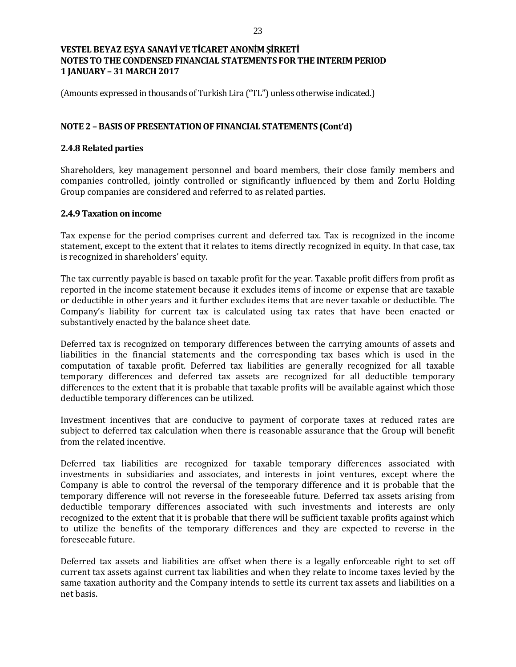(Amounts expressed in thousands of Turkish Lira ("TL") unless otherwise indicated.)

### **NOTE 2 – BASIS OF PRESENTATION OF FINANCIAL STATEMENTS (Cont'd)**

### **2.4.8 Related parties**

Shareholders, key management personnel and board members, their close family members and companies controlled, jointly controlled or significantly influenced by them and Zorlu Holding Group companies are considered and referred to as related parties.

#### **2.4.9 Taxation on income**

Tax expense for the period comprises current and deferred tax. Tax is recognized in the income statement, except to the extent that it relates to items directly recognized in equity. In that case, tax is recognized in shareholders' equity.

The tax currently payable is based on taxable profit for the year. Taxable profit differs from profit as reported in the income statement because it excludes items of income or expense that are taxable or deductible in other years and it further excludes items that are never taxable or deductible. The Company's liability for current tax is calculated using tax rates that have been enacted or substantively enacted by the balance sheet date.

Deferred tax is recognized on temporary differences between the carrying amounts of assets and liabilities in the financial statements and the corresponding tax bases which is used in the computation of taxable profit. Deferred tax liabilities are generally recognized for all taxable temporary differences and deferred tax assets are recognized for all deductible temporary differences to the extent that it is probable that taxable profits will be available against which those deductible temporary differences can be utilized.

Investment incentives that are conducive to payment of corporate taxes at reduced rates are subject to deferred tax calculation when there is reasonable assurance that the Group will benefit from the related incentive.

Deferred tax liabilities are recognized for taxable temporary differences associated with investments in subsidiaries and associates, and interests in joint ventures, except where the Company is able to control the reversal of the temporary difference and it is probable that the temporary difference will not reverse in the foreseeable future. Deferred tax assets arising from deductible temporary differences associated with such investments and interests are only recognized to the extent that it is probable that there will be sufficient taxable profits against which to utilize the benefits of the temporary differences and they are expected to reverse in the foreseeable future.

Deferred tax assets and liabilities are offset when there is a legally enforceable right to set off current tax assets against current tax liabilities and when they relate to income taxes levied by the same taxation authority and the Company intends to settle its current tax assets and liabilities on a net basis.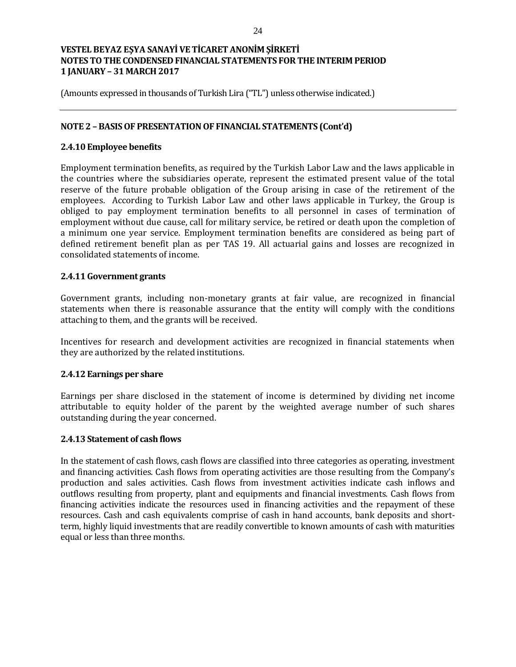(Amounts expressed in thousands of Turkish Lira ("TL") unless otherwise indicated.)

### **NOTE 2 – BASIS OF PRESENTATION OF FINANCIAL STATEMENTS (Cont'd)**

#### **2.4.10 Employee benefits**

Employment termination benefits, as required by the Turkish Labor Law and the laws applicable in the countries where the subsidiaries operate, represent the estimated present value of the total reserve of the future probable obligation of the Group arising in case of the retirement of the employees. According to Turkish Labor Law and other laws applicable in Turkey, the Group is obliged to pay employment termination benefits to all personnel in cases of termination of employment without due cause, call for military service, be retired or death upon the completion of a minimum one year service. Employment termination benefits are considered as being part of defined retirement benefit plan as per TAS 19. All actuarial gains and losses are recognized in consolidated statements of income.

## **2.4.11 Government grants**

Government grants, including non-monetary grants at fair value, are recognized in financial statements when there is reasonable assurance that the entity will comply with the conditions attaching to them, and the grants will be received.

Incentives for research and development activities are recognized in financial statements when they are authorized by the related institutions.

#### **2.4.12 Earnings per share**

Earnings per share disclosed in the statement of income is determined by dividing net income attributable to equity holder of the parent by the weighted average number of such shares outstanding during the year concerned.

#### **2.4.13 Statement of cash flows**

In the statement of cash flows, cash flows are classified into three categories as operating, investment and financing activities. Cash flows from operating activities are those resulting from the Company's production and sales activities. Cash flows from investment activities indicate cash inflows and outflows resulting from property, plant and equipments and financial investments. Cash flows from financing activities indicate the resources used in financing activities and the repayment of these resources. Cash and cash equivalents comprise of cash in hand accounts, bank deposits and shortterm, highly liquid investments that are readily convertible to known amounts of cash with maturities equal or less than three months.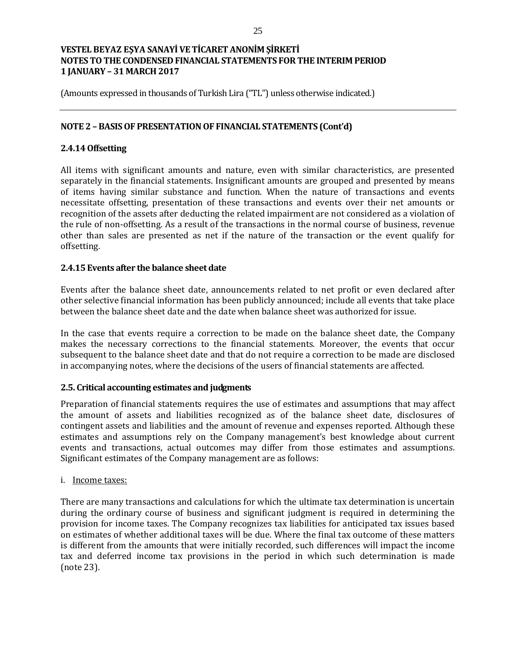(Amounts expressed in thousands of Turkish Lira ("TL") unless otherwise indicated.)

## **NOTE 2 – BASIS OF PRESENTATION OF FINANCIAL STATEMENTS (Cont'd)**

## **2.4.14 Offsetting**

All items with significant amounts and nature, even with similar characteristics, are presented separately in the financial statements. Insignificant amounts are grouped and presented by means of items having similar substance and function. When the nature of transactions and events necessitate offsetting, presentation of these transactions and events over their net amounts or recognition of the assets after deducting the related impairment are not considered as a violation of the rule of non-offsetting. As a result of the transactions in the normal course of business, revenue other than sales are presented as net if the nature of the transaction or the event qualify for offsetting.

#### **2.4.15 Events after the balance sheet date**

Events after the balance sheet date, announcements related to net profit or even declared after other selective financial information has been publicly announced; include all events that take place between the balance sheet date and the date when balance sheet was authorized for issue.

In the case that events require a correction to be made on the balance sheet date, the Company makes the necessary corrections to the financial statements. Moreover, the events that occur subsequent to the balance sheet date and that do not require a correction to be made are disclosed in accompanying notes, where the decisions of the users of financial statements are affected.

#### **2.5. Critical accounting estimates and judgments**

Preparation of financial statements requires the use of estimates and assumptions that may affect the amount of assets and liabilities recognized as of the balance sheet date, disclosures of contingent assets and liabilities and the amount of revenue and expenses reported. Although these estimates and assumptions rely on the Company management's best knowledge about current events and transactions, actual outcomes may differ from those estimates and assumptions. Significant estimates of the Company management are as follows:

#### i. Income taxes:

There are many transactions and calculations for which the ultimate tax determination is uncertain during the ordinary course of business and significant judgment is required in determining the provision for income taxes. The Company recognizes tax liabilities for anticipated tax issues based on estimates of whether additional taxes will be due. Where the final tax outcome of these matters is different from the amounts that were initially recorded, such differences will impact the income tax and deferred income tax provisions in the period in which such determination is made (note 23).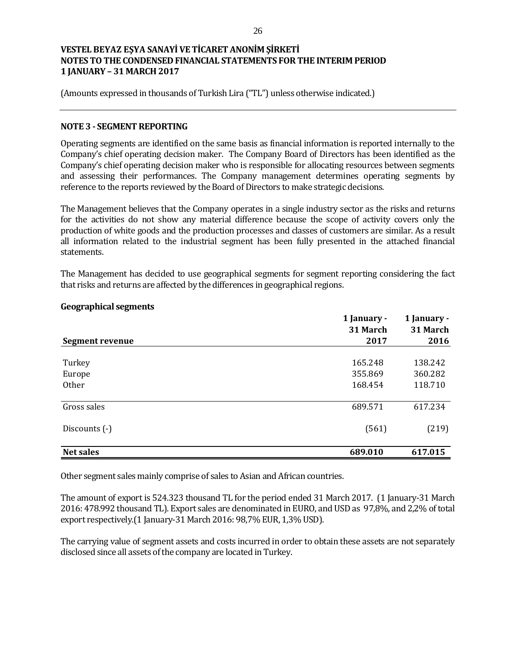(Amounts expressed in thousands of Turkish Lira ("TL") unless otherwise indicated.)

#### **NOTE 3 - SEGMENT REPORTING**

Operating segments are identified on the same basis as financial information is reported internally to the Company's chief operating decision maker. The Company Board of Directors has been identified as the Company's chief operating decision maker who is responsible for allocating resources between segments and assessing their performances. The Company management determines operating segments by reference to the reports reviewed by the Board of Directors to make strategic decisions.

The Management believes that the Company operates in a single industry sector as the risks and returns for the activities do not show any material difference because the scope of activity covers only the production of white goods and the production processes and classes of customers are similar. As a result all information related to the industrial segment has been fully presented in the attached financial statements.

The Management has decided to use geographical segments for segment reporting considering the fact that risks and returns are affected by the differences in geographical regions.

|                  | 1 January -<br>31 March | 1 January -<br>31 March<br>2016 |  |
|------------------|-------------------------|---------------------------------|--|
| Segment revenue  | 2017                    |                                 |  |
| Turkey           | 165.248                 | 138.242                         |  |
| Europe           | 355.869                 | 360.282                         |  |
| Other            | 168.454                 | 118.710                         |  |
| Gross sales      | 689.571                 | 617.234                         |  |
| Discounts (-)    | (561)                   | (219)                           |  |
| <b>Net sales</b> | 689.010                 | 617.015                         |  |

#### **Geographical segments**

Other segment sales mainly comprise of sales to Asian and African countries.

The amount of export is 524.323 thousand TL for the period ended 31 March 2017. (1 January-31 March 2016: 478.992 thousand TL). Export sales are denominated in EURO, and USD as 97,8%, and 2,2% of total export respectively.(1 January-31 March 2016: 98,7% EUR, 1,3% USD).

The carrying value of segment assets and costs incurred in order to obtain these assets are not separately disclosed since all assets of the company are located in Turkey.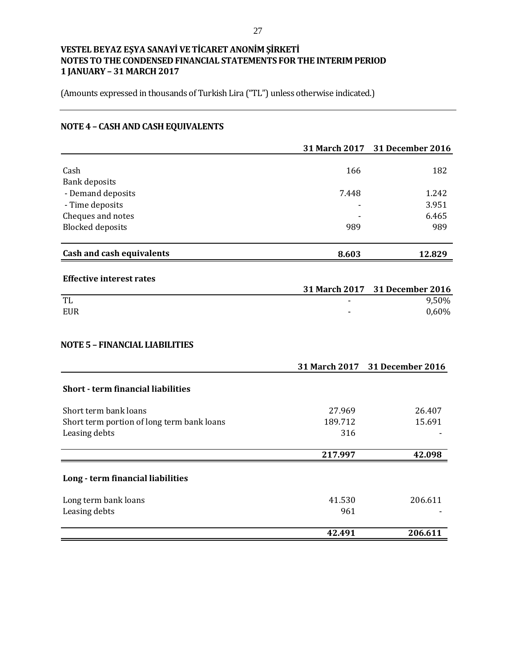(Amounts expressed in thousands of Turkish Lira ("TL") unless otherwise indicated.)

# **NOTE 4 – CASH AND CASH EQUIVALENTS**

|                                            |               | 31 March 2017 31 December 2016 |
|--------------------------------------------|---------------|--------------------------------|
| Cash                                       | 166           | 182                            |
| <b>Bank deposits</b>                       |               |                                |
| - Demand deposits                          | 7.448         | 1.242                          |
| - Time deposits                            |               | 3.951                          |
| Cheques and notes                          |               | 6.465                          |
| <b>Blocked</b> deposits                    | 989           | 989                            |
| <b>Cash and cash equivalents</b>           | 8.603         | 12.829                         |
| <b>Effective interest rates</b>            |               |                                |
|                                            | 31 March 2017 | 31 December 2016               |
| TL                                         |               | $\frac{1}{9,50\%}$             |
| <b>EUR</b>                                 |               | 0,60%                          |
| <b>NOTE 5 - FINANCIAL LIABILITIES</b>      | 31 March 2017 | 31 December 2016               |
| <b>Short - term financial liabilities</b>  |               |                                |
| Short term bank loans                      | 27.969        | 26.407                         |
| Short term portion of long term bank loans | 189.712       | 15.691                         |
| Leasing debts                              | 316           |                                |
|                                            | 217.997       | 42.098                         |
| Long - term financial liabilities          |               |                                |
| Long term bank loans                       | 41.530        | 206.611                        |
| Leasing debts                              | 961           |                                |
|                                            | 42.491        | 206.611                        |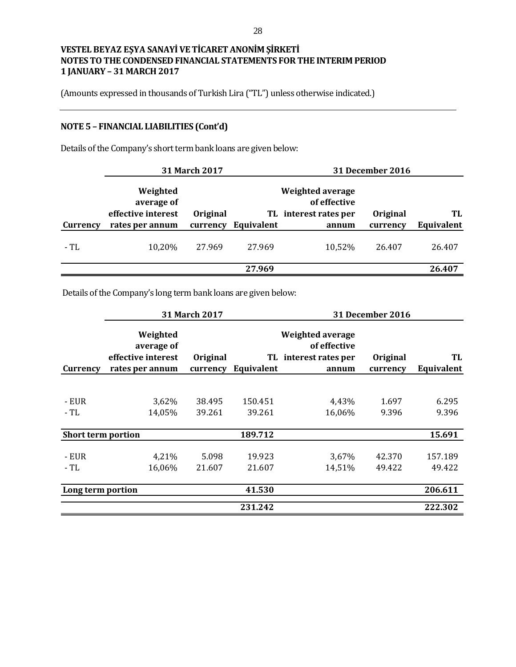(Amounts expressed in thousands of Turkish Lira ("TL") unless otherwise indicated.)

# **NOTE 5 – FINANCIAL LIABILITIES (Cont'd)**

Details of the Company's short term bank loans are given below:

|          |                                                                 | 31 March 2017        |            |                                                                    | <b>31 December 2016</b> |                  |
|----------|-----------------------------------------------------------------|----------------------|------------|--------------------------------------------------------------------|-------------------------|------------------|
| Currency | Weighted<br>average of<br>effective interest<br>rates per annum | Original<br>currency | Equivalent | Weighted average<br>of effective<br>TL interest rates per<br>annum | Original<br>currency    | TL<br>Equivalent |
| - TL     | 10,20%                                                          | 27.969               | 27.969     | 10,52%                                                             | 26.407                  | 26.407           |
|          |                                                                 |                      | 27.969     |                                                                    |                         | 26.407           |

Details of the Company's long term bank loans are given below:

|                           |                                                                 | 31 March 2017        |                   |                                                                    | <b>31 December 2016</b> |                   |
|---------------------------|-----------------------------------------------------------------|----------------------|-------------------|--------------------------------------------------------------------|-------------------------|-------------------|
| Currency                  | Weighted<br>average of<br>effective interest<br>rates per annum | Original<br>currency | Equivalent        | Weighted average<br>of effective<br>TL interest rates per<br>annum | Original<br>currency    | TL<br>Equivalent  |
|                           |                                                                 |                      |                   |                                                                    |                         |                   |
| - EUR<br>- TL             | 3,62%<br>14,05%                                                 | 38.495<br>39.261     | 150.451<br>39.261 | 4,43%<br>16,06%                                                    | 1.697<br>9.396          | 6.295<br>9.396    |
| <b>Short term portion</b> |                                                                 |                      | 189.712           |                                                                    |                         | 15.691            |
| - EUR<br>- TL             | 4,21%<br>16,06%                                                 | 5.098<br>21.607      | 19.923<br>21.607  | 3,67%<br>14,51%                                                    | 42.370<br>49.422        | 157.189<br>49.422 |
| Long term portion         |                                                                 |                      | 41.530            |                                                                    |                         | 206.611           |
|                           |                                                                 |                      | 231.242           |                                                                    |                         | 222.302           |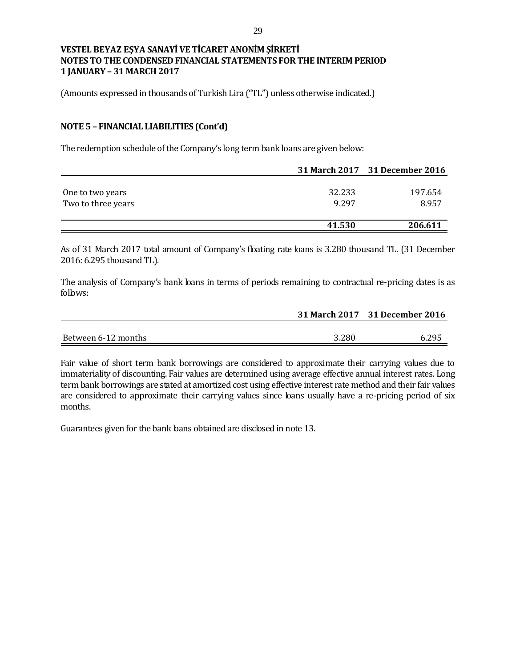(Amounts expressed in thousands of Turkish Lira ("TL") unless otherwise indicated.)

#### **NOTE 5 – FINANCIAL LIABILITIES (Cont'd)**

The redemption schedule of the Company's long term bank loans are given below:

|                    |        | 31 March 2017 31 December 2016 |
|--------------------|--------|--------------------------------|
|                    |        |                                |
| One to two years   | 32.233 | 197.654                        |
| Two to three years | 9.297  | 8.957                          |
|                    | 41.530 | 206.611                        |

As of 31 March 2017 total amount of Company's floating rate loans is 3.280 thousand TL. (31 December 2016: 6.295 thousand TL).

The analysis of Company's bank loans in terms of periods remaining to contractual re-pricing dates is as follows:

|                     |       | 31 March 2017 31 December 2016 |
|---------------------|-------|--------------------------------|
|                     |       |                                |
| Between 6-12 months | 3.280 | 6.295                          |

Fair value of short term bank borrowings are considered to approximate their carrying values due to immateriality of discounting. Fair values are determined using average effective annual interest rates. Long term bank borrowings are stated at amortized cost using effective interest rate method and their fair values are considered to approximate their carrying values since loans usually have a re-pricing period of six months.

Guarantees given for the bank bans obtained are discbsed in note 13.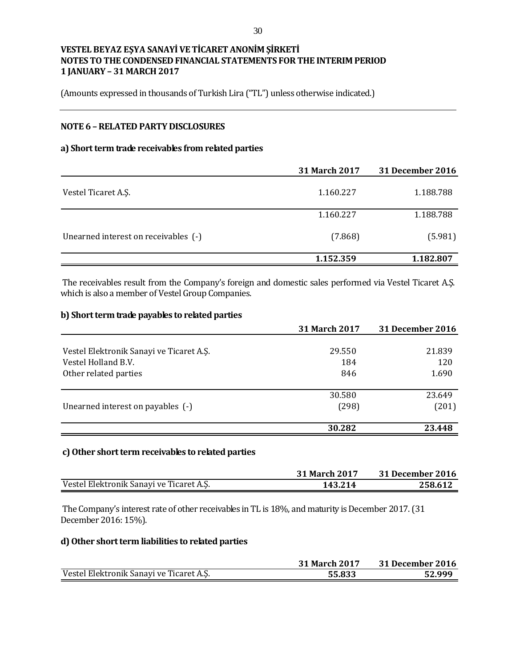(Amounts expressed in thousands of Turkish Lira ("TL") unless otherwise indicated.)

## **NOTE 6 –RELATED PARTY DISCLOSURES**

#### **a) Short term trade receivables from related parties**

|                                      | <b>31 March 2017</b> | <b>31 December 2016</b> |
|--------------------------------------|----------------------|-------------------------|
| Vestel Ticaret A.S.                  | 1.160.227            | 1.188.788               |
|                                      | 1.160.227            | 1.188.788               |
| Unearned interest on receivables (-) | (7.868)              | (5.981)                 |
|                                      | 1.152.359            | 1.182.807               |

The receivables result from the Company's foreign and domestic sales performed via Vestel Ticaret A.Ş. which is also a member of Vestel Group Companies.

## **b) Short term trade payables to related parties**

|                                          | <b>31 March 2017</b> | 31 December 2016 |
|------------------------------------------|----------------------|------------------|
|                                          |                      |                  |
| Vestel Elektronik Sanayi ve Ticaret A.S. | 29.550               | 21.839           |
| Vestel Holland B.V.                      | 184                  | 120              |
| Other related parties                    | 846                  | 1.690            |
|                                          | 30.580               | 23.649           |
| Unearned interest on payables (-)        | (298)                | (201)            |
|                                          | 30.282               | 23.448           |

#### **c) Other short term receivables to related parties**

|                                          | <b>31 March 2017</b> | <b>31 December 2016</b> |
|------------------------------------------|----------------------|-------------------------|
| Vestel Elektronik Sanayi ve Ticaret A.Ş. | 143.214              | 258.612                 |

The Company's interest rate of other receivables in TL is 18%, and maturity is December 2017.(31 December 2016: 15%).

#### **d) Other short term liabilities to related parties**

|                                          | <b>31 March 2017</b> | 31 December 2016 |
|------------------------------------------|----------------------|------------------|
| Vestel Elektronik Sanayi ve Ticaret A.S. | 55.833               | 52.999           |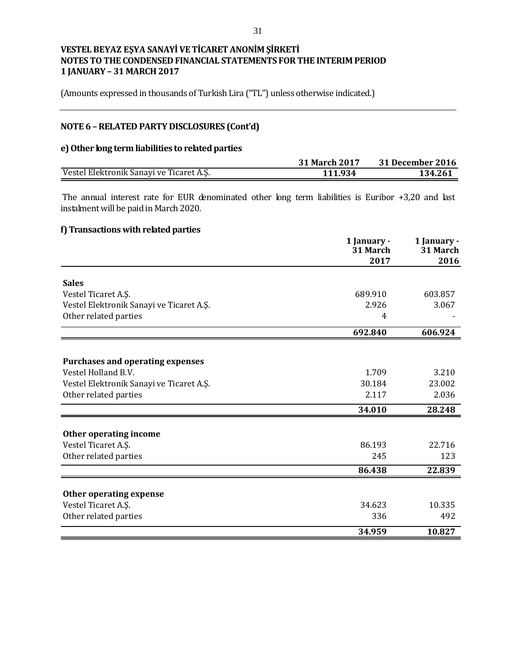(Amounts expressed in thousands of Turkish Lira ("TL") unless otherwise indicated.)

# **NOTE 6 –RELATED PARTY DISCLOSURES (Cont'd)**

#### **e) Other long term liabilities to related parties**

|                                          | <b>31 March 2017</b> | 31 December 2016 |
|------------------------------------------|----------------------|------------------|
| Vestel Elektronik Sanayi ve Ticaret A.S. | 111 934              | 134.261          |

The annual interest rate for EUR denominated other long term liabilities is Euribor  $+3,20$  and last instalment will be paid in March 2020.

# **f) Transactions with related parties**

|                                                       | 1 January -<br>31 March | 1 January -<br>31 March |
|-------------------------------------------------------|-------------------------|-------------------------|
|                                                       | 2017                    | 2016                    |
| <b>Sales</b>                                          |                         |                         |
| Vestel Ticaret A.S.                                   | 689.910                 | 603.857                 |
| Vestel Elektronik Sanayi ve Ticaret A.Ş.              | 2.926                   | 3.067                   |
| Other related parties                                 | 4                       |                         |
|                                                       | 692.840                 | 606.924                 |
|                                                       |                         |                         |
| <b>Purchases and operating expenses</b>               |                         |                         |
| Vestel Holland B.V.                                   | 1.709                   | 3.210                   |
| Vestel Elektronik Sanayi ve Ticaret A.Ş.              | 30.184                  | 23.002                  |
| Other related parties                                 | 2.117                   | 2.036                   |
|                                                       | 34.010                  | 28.248                  |
| Other operating income                                |                         |                         |
| Vestel Ticaret A.Ş.                                   | 86.193                  | 22.716                  |
| Other related parties                                 | 245                     | 123                     |
|                                                       | 86.438                  | 22.839                  |
|                                                       |                         |                         |
| <b>Other operating expense</b><br>Vestel Ticaret A.Ş. | 34.623                  | 10.335                  |
| Other related parties                                 | 336                     | 492                     |
|                                                       |                         |                         |
|                                                       | 34.959                  | 10.827                  |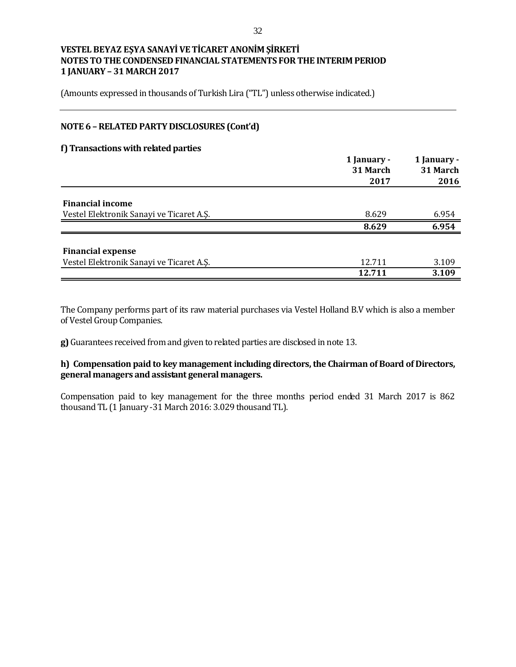(Amounts expressed in thousands of Turkish Lira ("TL") unless otherwise indicated.)

## **NOTE 6 –RELATED PARTY DISCLOSURES (Cont'd)**

#### **f) Transactions with related parties**

|                                          | 1 January -<br>31 March | 1 January -<br>31 March<br>2016 |  |
|------------------------------------------|-------------------------|---------------------------------|--|
|                                          | 2017                    |                                 |  |
| <b>Financial income</b>                  |                         |                                 |  |
| Vestel Elektronik Sanayi ve Ticaret A.Ş. | 8.629                   | 6.954                           |  |
|                                          | 8.629                   | 6.954                           |  |
| <b>Financial expense</b>                 |                         |                                 |  |
| Vestel Elektronik Sanayi ve Ticaret A.S. | 12.711                  | 3.109                           |  |
|                                          | 12.711                  | 3.109                           |  |

The Company performs part of its raw material purchases via Vestel Holland B.V which is also a member of Vestel Group Companies.

**g)** Guarantees received from and given to related parties are disclosed in note 13.

## **h) Compensation paid to key management including directors, the Chairman of Board of Directors, general managers and assistant general managers.**

Compensation paid to key management for the three months period ended 31 March 2017 is 862 thousand TL (1 January -31 March 2016: 3.029 thousand TL).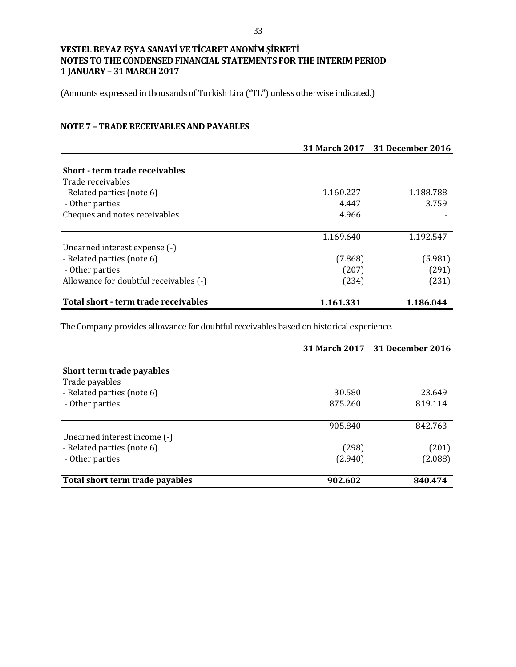(Amounts expressed in thousands of Turkish Lira ("TL") unless otherwise indicated.)

## **NOTE 7 – TRADE RECEIVABLES AND PAYABLES**

|                                        |           | 31 March 2017 31 December 2016 |
|----------------------------------------|-----------|--------------------------------|
|                                        |           |                                |
| <b>Short - term trade receivables</b>  |           |                                |
| Trade receivables                      |           |                                |
| - Related parties (note 6)             | 1.160.227 | 1.188.788                      |
| - Other parties                        | 4.447     | 3.759                          |
| Cheques and notes receivables          | 4.966     |                                |
|                                        | 1.169.640 | 1.192.547                      |
| Unearned interest expense (-)          |           |                                |
| - Related parties (note 6)             | (7.868)   | (5.981)                        |
| - Other parties                        | (207)     | (291)                          |
| Allowance for doubtful receivables (-) | (234)     | (231)                          |
| Total short - term trade receivables   | 1.161.331 | 1.186.044                      |

The Company provides allowance for doubtful receivables based on historical experience.

|                                 |         | 31 March 2017 31 December 2016 |
|---------------------------------|---------|--------------------------------|
|                                 |         |                                |
| Short term trade payables       |         |                                |
| Trade payables                  |         |                                |
| - Related parties (note 6)      | 30.580  | 23.649                         |
| - Other parties                 | 875.260 | 819.114                        |
|                                 | 905.840 | 842.763                        |
| Unearned interest income (-)    |         |                                |
| - Related parties (note 6)      | (298)   | (201)                          |
| - Other parties                 | (2.940) | (2.088)                        |
| Total short term trade payables | 902.602 | 840.474                        |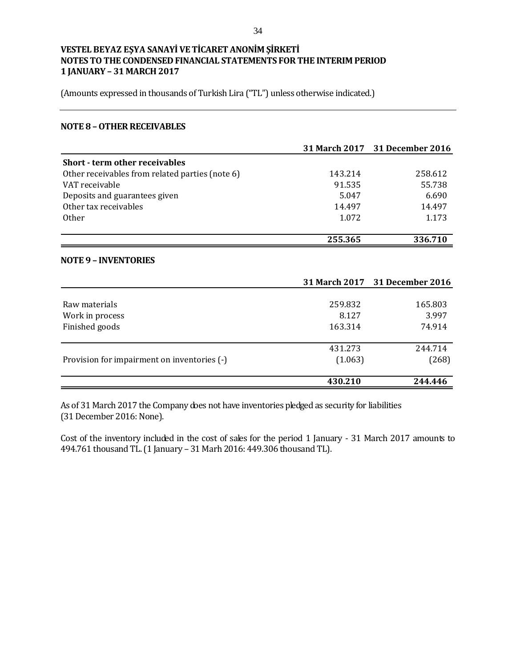(Amounts expressed in thousands of Turkish Lira ("TL") unless otherwise indicated.)

#### **NOTE 8 –OTHER RECEIVABLES**

|                                                 |         | 31 March 2017 31 December 2016 |
|-------------------------------------------------|---------|--------------------------------|
| <b>Short - term other receivables</b>           |         |                                |
| Other receivables from related parties (note 6) | 143.214 | 258.612                        |
| VAT receivable                                  | 91.535  | 55.738                         |
| Deposits and guarantees given                   | 5.047   | 6.690                          |
| Other tax receivables                           | 14.497  | 14.497                         |
| <b>Other</b>                                    | 1.072   | 1.173                          |
|                                                 |         |                                |
|                                                 | 255.365 | 336.710                        |
|                                                 |         |                                |

## **NOTE 9 – INVENTORIES**

|                                             |         | 31 March 2017 31 December 2016 |
|---------------------------------------------|---------|--------------------------------|
|                                             |         |                                |
| Raw materials                               | 259.832 | 165.803                        |
| Work in process                             | 8.127   | 3.997                          |
| Finished goods                              | 163.314 | 74.914                         |
|                                             |         |                                |
|                                             | 431.273 | 244.714                        |
| Provision for impairment on inventories (-) | (1.063) | (268)                          |
|                                             |         |                                |
|                                             | 430.210 | 244.446                        |

As of 31 March 2017 the Company does not have inventories pledged as security for liabilities (31 December 2016: None).

Cost of the inventory included in the cost of sales for the period 1 January - 31 March 2017 amounts to 494.761 thousand TL. (1 January – 31 Marh 2016: 449.306 thousand TL).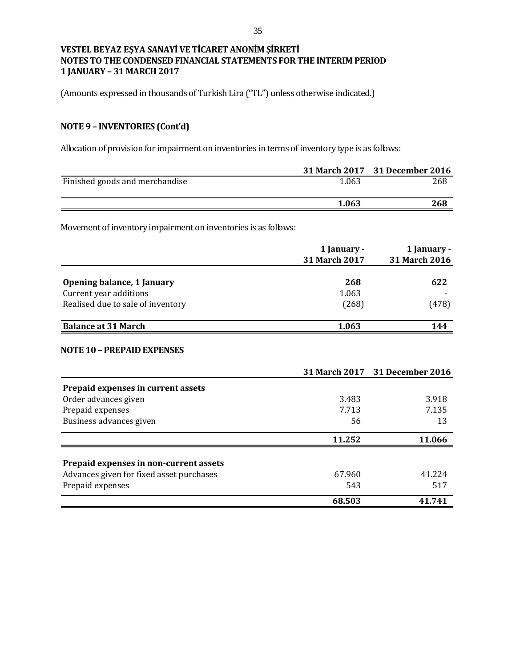(Amounts expressed in thousands of Turkish Lira ("TL") unless otherwise indicated.)

# **NOTE 9 – INVENTORIES (Cont'd)**

Allocation of provision for impairment on inventories in terms of inventory type is as follows:

|                                |       | 31 March 2017 31 December 2016 |
|--------------------------------|-------|--------------------------------|
| Finished goods and merchandise | 1.063 | 268                            |
|                                | 1.063 | 268                            |
|                                |       |                                |

Movement of inventory impairment on inventories is as follows:

|                                   | 1 January -<br>31 March 2017 | 1 January -<br>31 March 2016 |
|-----------------------------------|------------------------------|------------------------------|
| Opening balance, 1 January        | 268                          | 622                          |
| Current year additions            | 1.063                        |                              |
| Realised due to sale of inventory | (268)                        | (478)                        |
| <b>Balance at 31 March</b>        | 1.063                        | 144                          |

#### **NOTE 10 – PREPAID EXPENSES**

|                                          |        | 31 March 2017 31 December 2016 |
|------------------------------------------|--------|--------------------------------|
| Prepaid expenses in current assets       |        |                                |
| Order advances given                     | 3.483  | 3.918                          |
| Prepaid expenses                         | 7.713  | 7.135                          |
| Business advances given                  | 56     | 13                             |
|                                          | 11.252 | 11.066                         |
| Prepaid expenses in non-current assets   |        |                                |
| Advances given for fixed asset purchases | 67.960 | 41.224                         |
| Prepaid expenses                         | 543    | 517                            |
|                                          | 68.503 | 41.741                         |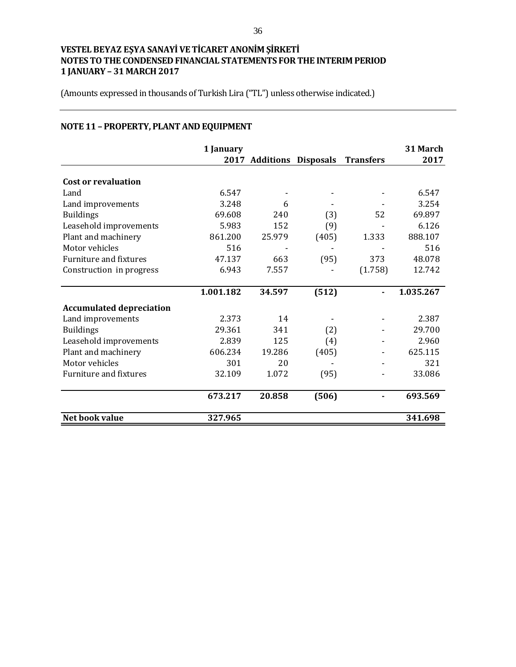(Amounts expressed in thousands of Turkish Lira ("TL") unless otherwise indicated.)

# **NOTE 11 – PROPERTY, PLANT AND EQUIPMENT**

|                                 | 1 January |        | 2017 Additions Disposals Transfers |         | 31 March<br>2017 |
|---------------------------------|-----------|--------|------------------------------------|---------|------------------|
|                                 |           |        |                                    |         |                  |
| <b>Cost or revaluation</b>      |           |        |                                    |         |                  |
| Land                            | 6.547     |        |                                    |         | 6.547            |
| Land improvements               | 3.248     | 6      |                                    |         | 3.254            |
| <b>Buildings</b>                | 69.608    | 240    | (3)                                | 52      | 69.897           |
| Leasehold improvements          | 5.983     | 152    | (9)                                |         | 6.126            |
| Plant and machinery             | 861.200   | 25.979 | (405)                              | 1.333   | 888.107          |
| Motor vehicles                  | 516       |        |                                    |         | 516              |
| Furniture and fixtures          | 47.137    | 663    | (95)                               | 373     | 48.078           |
| Construction in progress        | 6.943     | 7.557  |                                    | (1.758) | 12.742           |
|                                 |           |        |                                    |         |                  |
|                                 | 1.001.182 | 34.597 | (512)                              |         | 1.035.267        |
| <b>Accumulated depreciation</b> |           |        |                                    |         |                  |
| Land improvements               | 2.373     | 14     |                                    |         | 2.387            |
| <b>Buildings</b>                | 29.361    | 341    | (2)                                |         | 29.700           |
| Leasehold improvements          | 2.839     | 125    | (4)                                |         | 2.960            |
| Plant and machinery             | 606.234   | 19.286 | (405)                              |         | 625.115          |
| Motor vehicles                  | 301       | 20     |                                    |         | 321              |
| Furniture and fixtures          | 32.109    | 1.072  | (95)                               |         | 33.086           |
|                                 |           |        |                                    |         |                  |
|                                 | 673.217   | 20.858 | (506)                              |         | 693.569          |
| Net book value                  | 327.965   |        |                                    |         | 341.698          |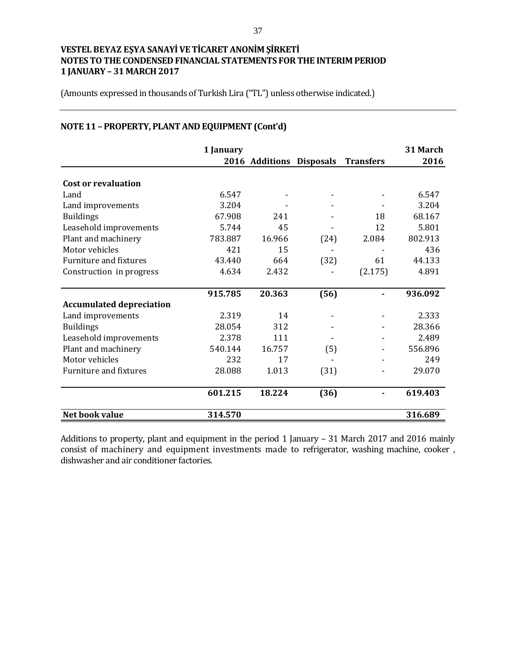(Amounts expressed in thousands of Turkish Lira ("TL") unless otherwise indicated.)

|  |  | NOTE 11 - PROPERTY, PLANT AND EQUIPMENT (Cont'd) |  |
|--|--|--------------------------------------------------|--|
|  |  |                                                  |  |

|                                 | 1 January |                          |      |                  | 31 March |
|---------------------------------|-----------|--------------------------|------|------------------|----------|
|                                 |           | 2016 Additions Disposals |      | <b>Transfers</b> | 2016     |
| <b>Cost or revaluation</b>      |           |                          |      |                  |          |
| Land                            | 6.547     |                          |      |                  | 6.547    |
| Land improvements               | 3.204     |                          |      |                  | 3.204    |
| <b>Buildings</b>                | 67.908    | 241                      |      | 18               | 68.167   |
| Leasehold improvements          | 5.744     | 45                       |      | 12               | 5.801    |
| Plant and machinery             | 783.887   | 16.966                   | (24) | 2.084            | 802.913  |
| Motor vehicles                  | 421       | 15                       |      |                  | 436      |
| <b>Furniture and fixtures</b>   | 43.440    | 664                      | (32) | 61               | 44.133   |
| Construction in progress        | 4.634     | 2.432                    |      | (2.175)          | 4.891    |
|                                 | 915.785   | 20.363                   | (56) |                  | 936.092  |
| <b>Accumulated depreciation</b> |           |                          |      |                  |          |
| Land improvements               | 2.319     | 14                       |      |                  | 2.333    |
| <b>Buildings</b>                | 28.054    | 312                      |      |                  | 28.366   |
| Leasehold improvements          | 2.378     | 111                      |      |                  | 2.489    |
| Plant and machinery             | 540.144   | 16.757                   | (5)  |                  | 556.896  |
| Motor vehicles                  | 232       | 17                       |      |                  | 249      |
| <b>Furniture and fixtures</b>   | 28.088    | 1.013                    | (31) |                  | 29.070   |
|                                 | 601.215   | 18.224                   | (36) |                  | 619.403  |
| Net book value                  | 314.570   |                          |      |                  | 316.689  |

Additions to property, plant and equipment in the period 1 January – 31 March 2017 and 2016 mainly consist of machinery and equipment investments made to refrigerator, washing machine, cooker , dishwasher and air conditioner factories.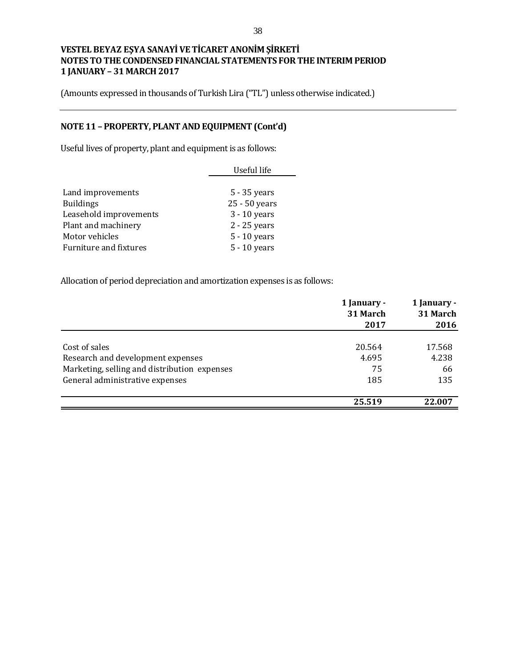(Amounts expressed in thousands of Turkish Lira ("TL") unless otherwise indicated.)

# **NOTE 11 – PROPERTY, PLANT AND EQUIPMENT (Cont'd)**

Useful lives of property, plant and equipment is as follows:

|                        | Useful life    |
|------------------------|----------------|
|                        |                |
| Land improvements      | 5 - 35 years   |
| <b>Buildings</b>       | 25 - 50 years  |
| Leasehold improvements | $3 - 10$ years |
| Plant and machinery    | 2 - 25 years   |
| Motor vehicles         | 5 - 10 years   |
| Furniture and fixtures | 5 - 10 years   |

Allocation of period depreciation and amortization expenses is as follows:

|                                              | 1 January -<br>31 March<br>2017 | 1 January -<br>31 March<br>2016 |
|----------------------------------------------|---------------------------------|---------------------------------|
|                                              |                                 |                                 |
| Cost of sales                                | 20.564                          | 17.568                          |
| Research and development expenses            | 4.695                           | 4.238                           |
| Marketing, selling and distribution expenses | 75                              | 66                              |
| General administrative expenses              | 185                             | 135                             |
|                                              | 25.519                          | 22.007                          |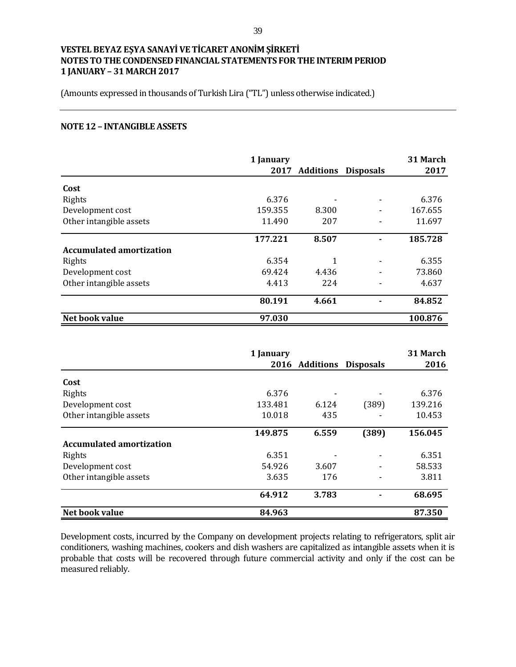(Amounts expressed in thousands of Turkish Lira ("TL") unless otherwise indicated.)

#### **NOTE 12 – INTANGIBLE ASSETS**

|                                 | 1 January | 2017 Additions | <b>Disposals</b> | 31 March<br>2017 |
|---------------------------------|-----------|----------------|------------------|------------------|
| Cost                            |           |                |                  |                  |
| Rights                          | 6.376     |                |                  | 6.376            |
| Development cost                | 159.355   | 8.300          |                  | 167.655          |
| Other intangible assets         | 11.490    | 207            |                  | 11.697           |
|                                 | 177.221   | 8.507          |                  | 185.728          |
| <b>Accumulated amortization</b> |           |                |                  |                  |
| Rights                          | 6.354     | 1              |                  | 6.355            |
| Development cost                | 69.424    | 4.436          |                  | 73.860           |
| Other intangible assets         | 4.413     | 224            |                  | 4.637            |
|                                 | 80.191    | 4.661          |                  | 84.852           |
| Net book value                  | 97.030    |                |                  | 100.876          |

|                                 | 1 January |                |                  | 31 March |
|---------------------------------|-----------|----------------|------------------|----------|
|                                 |           | 2016 Additions | <b>Disposals</b> | 2016     |
| Cost                            |           |                |                  |          |
| Rights                          | 6.376     |                |                  | 6.376    |
| Development cost                | 133.481   | 6.124          | (389)            | 139.216  |
| Other intangible assets         | 10.018    | 435            |                  | 10.453   |
|                                 | 149.875   | 6.559          | (389)            | 156.045  |
| <b>Accumulated amortization</b> |           |                |                  |          |
| Rights                          | 6.351     |                |                  | 6.351    |
| Development cost                | 54.926    | 3.607          |                  | 58.533   |
| Other intangible assets         | 3.635     | 176            |                  | 3.811    |
|                                 | 64.912    | 3.783          |                  | 68.695   |
| Net book value                  | 84.963    |                |                  | 87.350   |

Development costs, incurred by the Company on development projects relating to refrigerators, split air conditioners, washing machines, cookers and dish washers are capitalized as intangible assets when it is probable that costs will be recovered through future commercial activity and only if the cost can be measured reliably.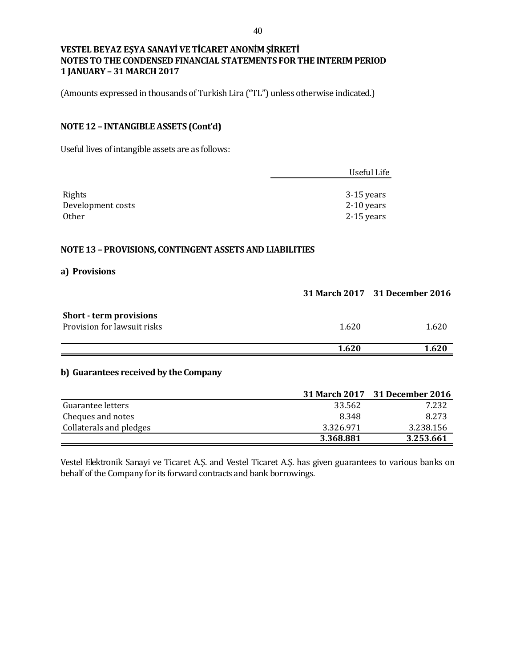(Amounts expressed in thousands of Turkish Lira ("TL") unless otherwise indicated.)

# **NOTE 12 – INTANGIBLE ASSETS (Cont'd)**

Useful lives of intangible assets are as follows:

|                   | Useful Life  |
|-------------------|--------------|
|                   |              |
| Rights            | 3-15 years   |
| Development costs | $2-10$ years |
| Other             | $2-15$ years |

### **NOTE 13 – PROVISIONS, CONTINGENT ASSETS AND LIABILITIES**

#### **a) Provisions**

|                                       |       | 31 March 2017 31 December 2016 |
|---------------------------------------|-------|--------------------------------|
|                                       |       |                                |
| <b>Short - term provisions</b>        |       |                                |
| Provision for lawsuit risks           | 1.620 | 1.620                          |
|                                       |       |                                |
|                                       | 1.620 | 1.620                          |
| b) Guarantees received by the Company |       |                                |

|                         |           | 31 March 2017 31 December 2016 |
|-------------------------|-----------|--------------------------------|
| Guarantee letters       | 33.562    | 7.232                          |
| Cheques and notes       | 8.348     | 8.273                          |
| Collaterals and pledges | 3.326.971 | 3.238.156                      |
|                         | 3.368.881 | 3.253.661                      |

Vestel Elektronik Sanayi ve Ticaret A.Ş. and Vestel Ticaret A.Ş. has given guarantees to various banks on behalf of the Company for its forward contracts and bank borrowings.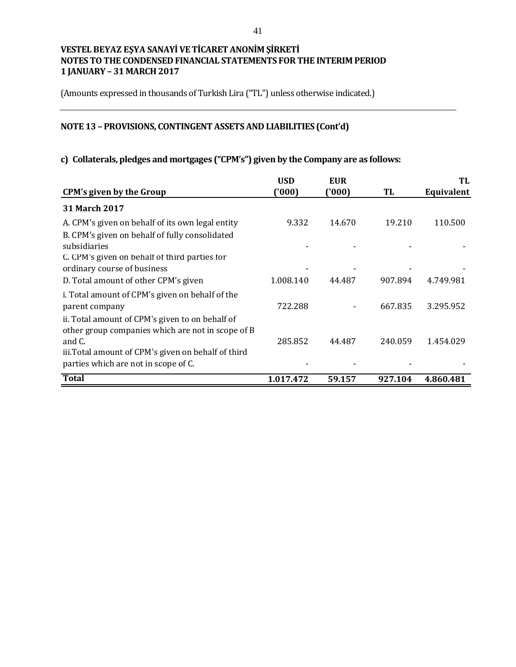(Amounts expressed in thousands of Turkish Lira ("TL") unless otherwise indicated.)

# **NOTE 13 – PROVISIONS, CONTINGENT ASSETS AND LIABILITIES (Cont'd)**

# **c) Collaterals, pledges and mortgages ("CPM's") given by the Company are as follows:**

|                                                                                             | <b>USD</b> | <b>EUR</b> |         | TL         |
|---------------------------------------------------------------------------------------------|------------|------------|---------|------------|
| <b>CPM's given by the Group</b>                                                             | (000)      | ('000)     | TL      | Equivalent |
| <b>31 March 2017</b>                                                                        |            |            |         |            |
| A. CPM's given on behalf of its own legal entity                                            | 9.332      | 14.670     | 19.210  | 110.500    |
| B. CPM's given on behalf of fully consolidated<br>subsidiaries                              |            |            |         |            |
| C. CPM's given on behalf of third parties for                                               |            |            |         |            |
| ordinary course of business                                                                 |            |            |         |            |
| D. Total amount of other CPM's given                                                        | 1.008.140  | 44.487     | 907.894 | 4.749.981  |
| i. Total amount of CPM's given on behalf of the<br>parent company                           | 722.288    |            | 667.835 | 3.295.952  |
| ii. Total amount of CPM's given to on behalf of                                             |            |            |         |            |
| other group companies which are not in scope of B<br>and C.                                 | 285.852    | 44.487     | 240.059 | 1.454.029  |
| iii. Total amount of CPM's given on behalf of third<br>parties which are not in scope of C. |            |            |         |            |
| <b>Total</b>                                                                                | 1.017.472  | 59.157     | 927.104 | 4.860.481  |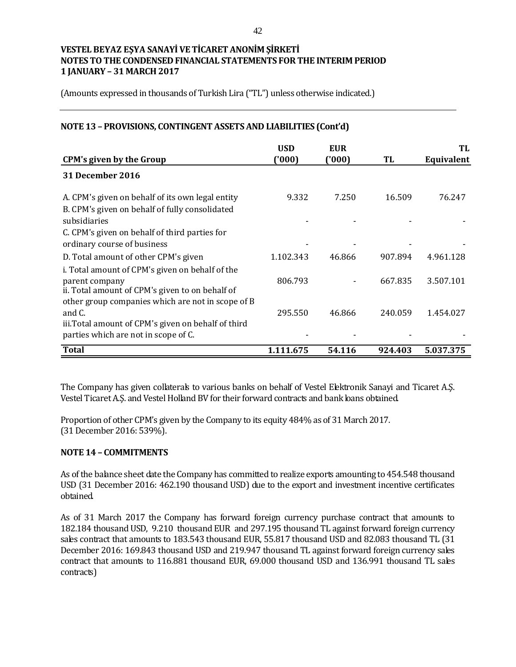(Amounts expressed in thousands of Turkish Lira ("TL") unless otherwise indicated.)

### **NOTE 13 – PROVISIONS, CONTINGENT ASSETS AND LIABILITIES (Cont'd)**

|                                                                                                    | <b>USD</b> | <b>EUR</b> |         | TL         |
|----------------------------------------------------------------------------------------------------|------------|------------|---------|------------|
| <b>CPM's given by the Group</b>                                                                    | ('000)     | ('000'     | TL      | Equivalent |
| <b>31 December 2016</b>                                                                            |            |            |         |            |
| A. CPM's given on behalf of its own legal entity<br>B. CPM's given on behalf of fully consolidated | 9.332      | 7.250      | 16.509  | 76.247     |
| subsidiaries                                                                                       |            |            |         |            |
| C. CPM's given on behalf of third parties for<br>ordinary course of business                       |            |            |         |            |
| D. Total amount of other CPM's given                                                               | 1.102.343  | 46.866     | 907.894 | 4.961.128  |
| i. Total amount of CPM's given on behalf of the                                                    |            |            |         |            |
| parent company<br>ii. Total amount of CPM's given to on behalf of                                  | 806.793    |            | 667.835 | 3.507.101  |
| other group companies which are not in scope of B<br>and C.                                        | 295.550    | 46.866     | 240.059 | 1.454.027  |
| iii. Total amount of CPM's given on behalf of third                                                |            |            |         |            |
| parties which are not in scope of C.                                                               |            |            |         |            |
| <b>Total</b>                                                                                       | 1.111.675  | 54.116     | 924.403 | 5.037.375  |

The Company has given collaterals to various banks on behalf of Vestel Elektronik Sanayi and Ticaret A.Ş. Vestel Ticaret A.Ş. and Vestel Holland BV for their forward contracts and bank loans obtained.

Proportion of other CPM's given by the Company to its equity 484% as of 31 March 2017. (31 December 2016: 539%).

#### **NOTE 14 – COMMITMENTS**

As of the balance sheet date the Company has committed to realize exports amounting to 454.548 thousand USD (31 December 2016: 462.190 thousand USD) due to the export and investment incentive certificates obtained.

As of 31 March 2017 the Company has forward foreign currency purchase contract that amounts to 182.184 thousand USD, 9.210 thousand EUR and 297.195 thousand TL against forward foreign currency sales contract that amounts to 183.543 thousand EUR, 55.817 thousand USD and 82.083 thousand TL (31 December 2016: 169.843 thousand USD and 219.947 thousand TL against forward foreign currency sales contract that amounts to 116.881 thousand EUR, 69.000 thousand USD and 136.991 thousand TL sales contracts)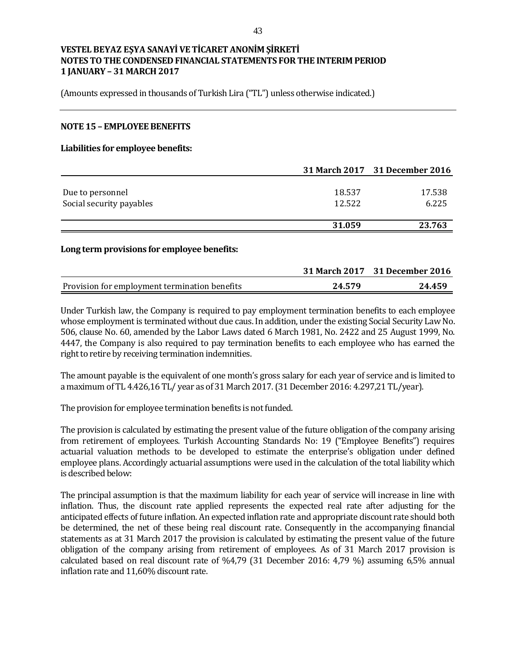(Amounts expressed in thousands of Turkish Lira ("TL") unless otherwise indicated.)

#### **NOTE 15 – EMPLOYEE BENEFITS**

#### **Liabilities for employee benefits:**

|                          |        | 31 March 2017 31 December 2016 |
|--------------------------|--------|--------------------------------|
|                          |        |                                |
| Due to personnel         | 18.537 | 17.538                         |
| Social security payables | 12.522 | 6.225                          |
|                          |        |                                |
|                          | 31.059 | 23.763                         |
|                          |        |                                |

#### **Long term provisions for employee benefits:**

|                                               |        | 31 March 2017 31 December 2016 |
|-----------------------------------------------|--------|--------------------------------|
| Provision for employment termination benefits | 24.579 | 24.459                         |

Under Turkish law, the Company is required to pay employment termination benefits to each employee whose employment is terminated without due caus. In addition, under the existing Social Security Law No. 506, clause No. 60, amended by the Labor Laws dated 6 March 1981, No. 2422 and 25 August 1999, No. 4447, the Company is also required to pay termination benefits to each employee who has earned the right to retire by receiving termination indemnities.

The amount payable is the equivalent of one month's gross salary for each year of service and is limited to a maximum of TL 4.426,16 TL/ year as of 31 March 2017. (31 December 2016: 4.297,21 TL/year).

The provision for employee termination benefits is not funded.

The provision is calculated by estimating the present value of the future obligation of the company arising from retirement of employees. Turkish Accounting Standards No: 19 ("Employee Benefits") requires actuarial valuation methods to be developed to estimate the enterprise's obligation under defined employee plans. Accordingly actuarial assumptions were used in the calculation of the total liability which is described below:

The principal assumption is that the maximum liability for each year of service will increase in line with inflation. Thus, the discount rate applied represents the expected real rate after adjusting for the anticipated effects of future inflation. An expected inflation rate and appropriate discount rate should both be determined, the net of these being real discount rate. Consequently in the accompanying financial statements as at 31 March 2017 the provision is calculated by estimating the present value of the future obligation of the company arising from retirement of employees. As of 31 March 2017 provision is calculated based on real discount rate of %4,79 (31 December 2016: 4,79 %) assuming 6,5% annual inflation rate and 11,60% discount rate.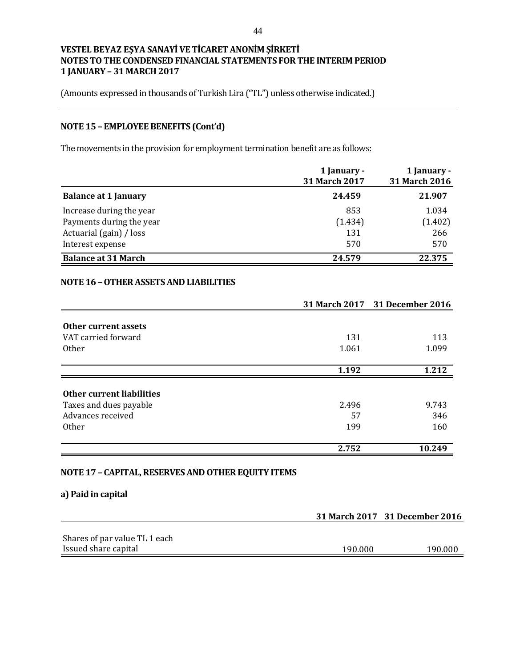(Amounts expressed in thousands of Turkish Lira ("TL") unless otherwise indicated.)

# **NOTE 15 – EMPLOYEE BENEFITS (Cont'd)**

The movements in the provision for employment termination benefit are as follows:

|                             | 1 January -<br>31 March 2017 | 1 January -<br>31 March 2016 |
|-----------------------------|------------------------------|------------------------------|
| <b>Balance at 1 January</b> | 24.459                       | 21.907                       |
| Increase during the year    | 853                          | 1.034                        |
| Payments during the year    | (1.434)                      | (1.402)                      |
| Actuarial (gain) / loss     | 131                          | 266                          |
| Interest expense            | 570                          | 570                          |
| <b>Balance at 31 March</b>  | 24.579                       | 22.375                       |

## **NOTE 16 –OTHERASSETS AND LIABILITIES**

|                                  |       | 31 March 2017 31 December 2016 |
|----------------------------------|-------|--------------------------------|
|                                  |       |                                |
| Other current assets             |       |                                |
| VAT carried forward              | 131   | 113                            |
| <b>Other</b>                     | 1.061 | 1.099                          |
|                                  | 1.192 | 1.212                          |
|                                  |       |                                |
| <b>Other current liabilities</b> |       |                                |
| Taxes and dues payable           | 2.496 | 9.743                          |
| Advances received                | 57    | 346                            |
| 0ther                            | 199   | 160                            |
|                                  | 2.752 | 10.249                         |

#### **NOTE 17 – CAPITAL, RESERVES AND OTHER EQUITY ITEMS**

#### **a) Paid in capital**

|                               |         | 31 March 2017 31 December 2016 |
|-------------------------------|---------|--------------------------------|
|                               |         |                                |
| Shares of par value TL 1 each |         |                                |
| Issued share capital          | 190.000 | 190.000                        |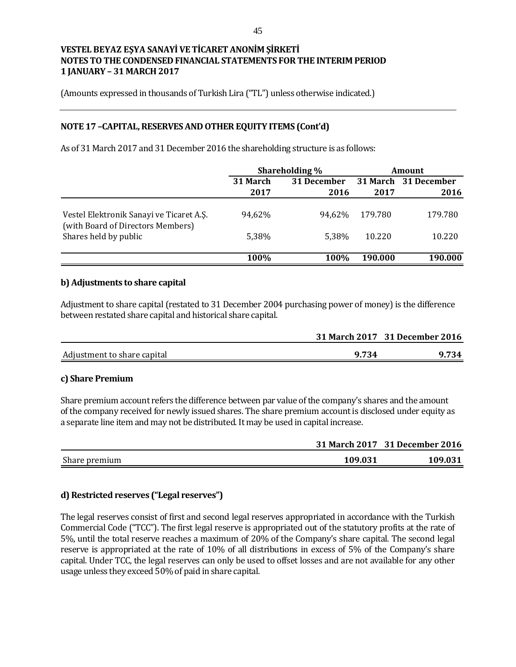(Amounts expressed in thousands of Turkish Lira ("TL") unless otherwise indicated.)

## **NOTE 17 –CAPITAL, RESERVES AND OTHER EQUITY ITEMS (Cont'd)**

As of 31 March 2017 and 31 December 2016 the shareholding structure is as follows:

|                                                                               | Shareholding % |             | <b>Amount</b> |                      |
|-------------------------------------------------------------------------------|----------------|-------------|---------------|----------------------|
|                                                                               | 31 March       | 31 December |               | 31 March 31 December |
|                                                                               | 2017           | 2016        | 2017          | 2016                 |
| Vestel Elektronik Sanayi ve Ticaret A.S.<br>(with Board of Directors Members) | 94,62%         | 94.62%      | 179.780       | 179.780              |
| Shares held by public                                                         | 5,38%          | 5.38%       | 10.220        | 10.220               |
|                                                                               | 100%           | 100%        | 190.000       | 190.000              |

#### **b) Adjustments to share capital**

Adjustment to share capital (restated to 31 December 2004 purchasing power of money) is the difference between restated share capital and historical share capital.

|                             |       | 31 March 2017 31 December 2016 |
|-----------------------------|-------|--------------------------------|
| Adjustment to share capital | 9.734 | 9.734                          |

#### **c) Share Premium**

Share premium account refers the difference between par value of the company's shares and the amount of the company received for newly issued shares. The share premium account is disclosed under equity as a separate line item and may not be distributed. It may be used in capital increase.

|               |         | 31 March 2017 31 December 2016 |
|---------------|---------|--------------------------------|
| Share premium | 109.031 | 109.031                        |

## **d) Restricted reserves ("Legal reserves")**

The legal reserves consist of first and second legal reserves appropriated in accordance with the Turkish Commercial Code ("TCC"). The first legal reserve is appropriated out of the statutory profits at the rate of 5%, until the total reserve reaches a maximum of 20% of the Company's share capital. The second legal reserve is appropriated at the rate of 10% of all distributions in excess of 5% of the Company's share capital. Under TCC, the legal reserves can only be used to offset losses and are not available for any other usage unless they exceed 50% of paid in share capital.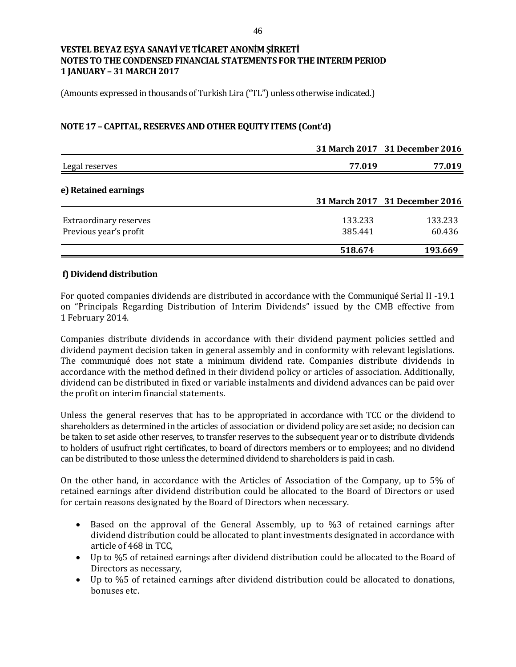(Amounts expressed in thousands of Turkish Lira ("TL") unless otherwise indicated.)

## **NOTE 17 – CAPITAL, RESERVES AND OTHER EQUITY ITEMS (Cont'd)**

|                               |         | 31 March 2017 31 December 2016 |
|-------------------------------|---------|--------------------------------|
| Legal reserves                | 77.019  | 77.019                         |
| e) Retained earnings          |         | 31 March 2017 31 December 2016 |
|                               |         |                                |
| <b>Extraordinary reserves</b> | 133.233 | 133.233                        |
| Previous year's profit        | 385.441 | 60.436                         |
|                               | 518.674 | 193.669                        |
|                               |         |                                |

#### **f) Dividend distribution**

For quoted companies dividends are distributed in accordance with the Communiqué Serial II -19.1 on "Principals Regarding Distribution of Interim Dividends" issued by the CMB effective from 1 February 2014.

Companies distribute dividends in accordance with their dividend payment policies settled and dividend payment decision taken in general assembly and in conformity with relevant legislations. The communiqué does not state a minimum dividend rate. Companies distribute dividends in accordance with the method defined in their dividend policy or articles of association. Additionally, dividend can be distributed in fixed or variable instalments and dividend advances can be paid over the profit on interim financial statements.

Unless the general reserves that has to be appropriated in accordance with TCC or the dividend to shareholders as determined in the articles of association or dividend policy are set aside; no decision can be taken to set aside other reserves, to transfer reserves to the subsequent year or to distribute dividends to holders of usufruct right certificates, to board of directors members or to employees; and no dividend can be distributed to those unless the determined dividend to shareholders is paid in cash.

On the other hand, in accordance with the Articles of Association of the Company, up to 5% of retained earnings after dividend distribution could be allocated to the Board of Directors or used for certain reasons designated by the Board of Directors when necessary.

- Based on the approval of the General Assembly, up to %3 of retained earnings after dividend distribution could be allocated to plant investments designated in accordance with article of 468 in TCC,
- Up to %5 of retained earnings after dividend distribution could be allocated to the Board of Directors as necessary,
- Up to %5 of retained earnings after dividend distribution could be allocated to donations, bonuses etc.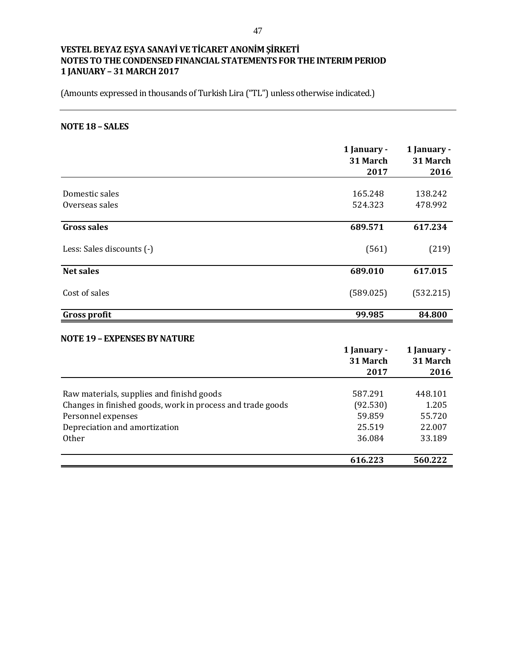(Amounts expressed in thousands of Turkish Lira ("TL") unless otherwise indicated.)

# **NOTE 18 – SALES**

|                           | 1 January -<br>31 March<br>2017 | 1 January -<br>31 March<br>2016 |
|---------------------------|---------------------------------|---------------------------------|
|                           |                                 |                                 |
| Domestic sales            | 165.248                         | 138.242                         |
| Overseas sales            | 524.323                         | 478.992                         |
| <b>Gross sales</b>        | 689.571                         | 617.234                         |
| Less: Sales discounts (-) | (561)                           | (219)                           |
| <b>Net sales</b>          | 689.010                         | 617.015                         |
| Cost of sales             | (589.025)                       | (532.215)                       |
| <b>Gross profit</b>       | 99.985                          | 84.800                          |

#### **NOTE 19 – EXPENSES BY NATURE**

|                                                            | 1 January -<br>31 March<br>2017 | 1 January -<br>31 March<br>2016 |
|------------------------------------------------------------|---------------------------------|---------------------------------|
|                                                            |                                 |                                 |
| Raw materials, supplies and finishd goods                  | 587.291                         | 448.101                         |
| Changes in finished goods, work in process and trade goods | (92.530)                        | 1.205                           |
| Personnel expenses                                         | 59.859                          | 55.720                          |
| Depreciation and amortization                              | 25.519                          | 22.007                          |
| <b>Other</b>                                               | 36.084                          | 33.189                          |
|                                                            | 616.223                         | 560.222                         |
|                                                            |                                 |                                 |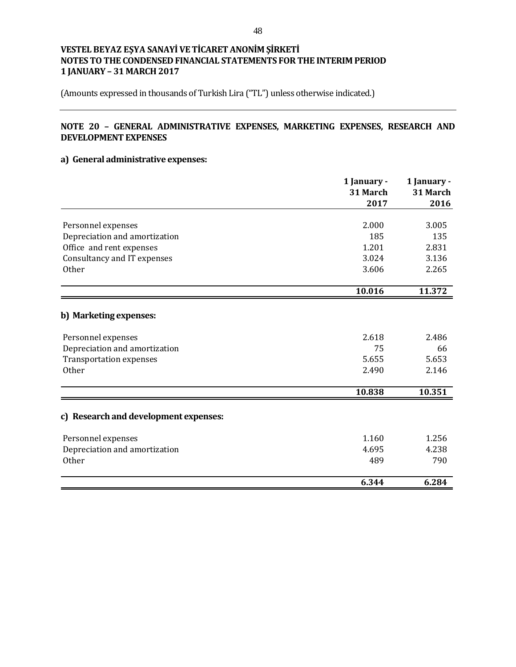(Amounts expressed in thousands of Turkish Lira ("TL") unless otherwise indicated.)

# **NOTE 20 – GENERAL ADMINISTRATIVE EXPENSES, MARKETING EXPENSES, RESEARCH AND DEVELOPMENT EXPENSES**

## **a) General administrative expenses:**

|                                       | 1 January - |          |
|---------------------------------------|-------------|----------|
|                                       | 31 March    | 31 March |
|                                       | 2017        | 2016     |
|                                       |             |          |
| Personnel expenses                    | 2.000       | 3.005    |
| Depreciation and amortization         | 185         | 135      |
| Office and rent expenses              | 1.201       | 2.831    |
| Consultancy and IT expenses           | 3.024       | 3.136    |
| <b>Other</b>                          | 3.606       | 2.265    |
|                                       | 10.016      | 11.372   |
|                                       |             |          |
| b) Marketing expenses:                |             |          |
| Personnel expenses                    | 2.618       | 2.486    |
| Depreciation and amortization         | 75          | 66       |
| <b>Transportation expenses</b>        | 5.655       | 5.653    |
| <b>Other</b>                          | 2.490       | 2.146    |
|                                       |             |          |
|                                       | 10.838      | 10.351   |
| c) Research and development expenses: |             |          |
| Personnel expenses                    | 1.160       | 1.256    |
| Depreciation and amortization         | 4.695       | 4.238    |
| <b>Other</b>                          | 489         | 790      |
|                                       | 6.344       | 6.284    |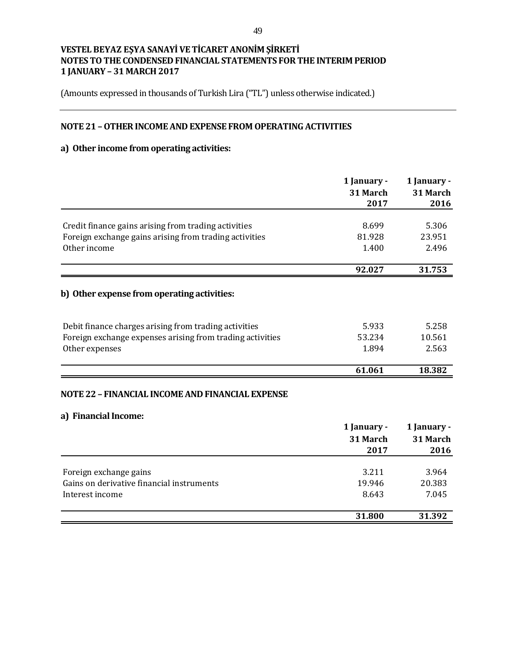(Amounts expressed in thousands of Turkish Lira ("TL") unless otherwise indicated.)

## **NOTE 21 –OTHERINCOME AND EXPENSE FROM OPERATING ACTIVITIES**

# **a) Other income from operating activities:**

|                                                           | 1 January -<br>31 March<br>2017 | 1 January -<br>31 March<br>2016 |
|-----------------------------------------------------------|---------------------------------|---------------------------------|
|                                                           |                                 |                                 |
| Credit finance gains arising from trading activities      | 8.699                           | 5.306                           |
| Foreign exchange gains arising from trading activities    | 81.928                          | 23.951                          |
| Other income                                              | 1.400                           | 2.496                           |
|                                                           | 92.027                          | 31.753                          |
| b) Other expense from operating activities:               |                                 |                                 |
| Debit finance charges arising from trading activities     | 5.933                           | 5.258                           |
| Foreign exchange expenses arising from trading activities | 53.234                          | 10.561                          |
| Other expenses                                            | 1.894                           | 2.563                           |
|                                                           | 61.061                          | 18.382                          |
| NOTE 22 - FINANCIAL INCOME AND FINANCIAL EXPENSE          |                                 |                                 |
| a) Financial Income:                                      |                                 |                                 |
|                                                           | 1 January -                     | 1 January -                     |
|                                                           | 31 March                        | 31 March                        |
|                                                           | 2017                            | 2016                            |

|                                           | 31.800 | 31.392 |
|-------------------------------------------|--------|--------|
| Interest income                           | 8.643  | 7.045  |
|                                           |        |        |
| Gains on derivative financial instruments | 19.946 | 20.383 |
| Foreign exchange gains                    | 3.211  | 3.964  |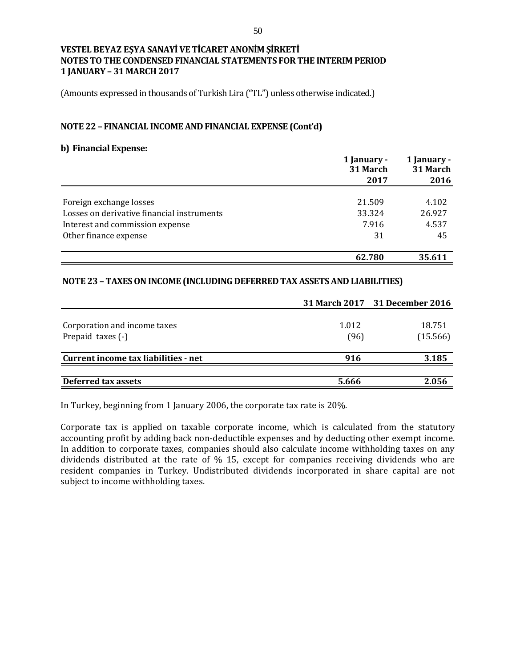(Amounts expressed in thousands of Turkish Lira ("TL") unless otherwise indicated.)

#### **NOTE 22 – FINANCIAL INCOME AND FINANCIAL EXPENSE (Cont'd)**

#### **b) Financial Expense:**

|                                            | 1 January -<br>31 March | 1 January -<br>31 March |  |
|--------------------------------------------|-------------------------|-------------------------|--|
|                                            | 2017                    | 2016                    |  |
| Foreign exchange losses                    | 21.509                  | 4.102                   |  |
| Losses on derivative financial instruments | 33.324                  | 26.927                  |  |
| Interest and commission expense            | 7.916                   | 4.537                   |  |
| Other finance expense                      | 31                      | 45                      |  |
|                                            | 62.780                  | 35.611                  |  |

#### **NOTE 23 –TAXESON INCOME (INCLUDING DEFERRED TAX ASSETS AND LIABILITIES)**

|                                                   |               | 31 March 2017 31 December 2016 |
|---------------------------------------------------|---------------|--------------------------------|
| Corporation and income taxes<br>Prepaid taxes (-) | 1.012<br>(96) | 18.751<br>(15.566)             |
| Current income tax liabilities - net              | 916           | 3.185                          |
| Deferred tax assets                               | 5.666         | 2.056                          |

In Turkey, beginning from 1 January 2006, the corporate tax rate is 20%.

Corporate tax is applied on taxable corporate income, which is calculated from the statutory accounting profit by adding back non-deductible expenses and by deducting other exempt income. In addition to corporate taxes, companies should also calculate income withholding taxes on any dividends distributed at the rate of % 15, except for companies receiving dividends who are resident companies in Turkey. Undistributed dividends incorporated in share capital are not subject to income withholding taxes.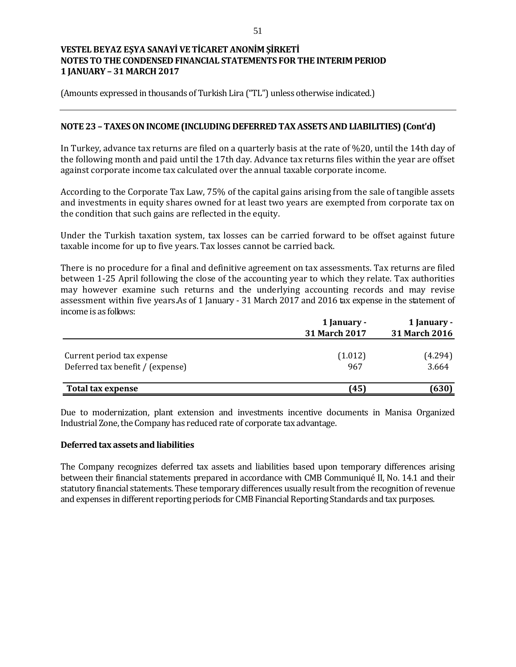(Amounts expressed in thousands of Turkish Lira ("TL") unless otherwise indicated.)

## **NOTE 23 – TAXESON INCOME (INCLUDING DEFERRED TAX ASSETS AND LIABILITIES) (Cont'd)**

In Turkey, advance tax returns are filed on a quarterly basis at the rate of %20, until the 14th day of the following month and paid until the 17th day. Advance tax returns files within the year are offset against corporate income tax calculated over the annual taxable corporate income.

According to the Corporate Tax Law, 75% of the capital gains arising from the sale of tangible assets and investments in equity shares owned for at least two years are exempted from corporate tax on the condition that such gains are reflected in the equity.

Under the Turkish taxation system, tax losses can be carried forward to be offset against future taxable income for up to five years. Tax losses cannot be carried back.

There is no procedure for a final and definitive agreement on tax assessments. Tax returns are filed between 1-25 April following the close of the accounting year to which they relate. Tax authorities may however examine such returns and the underlying accounting records and may revise assessment within five years.As of 1 January - 31 March 2017 and 2016 tax expense in the statement of income is as follows:

|                                                                | 1 January -<br>31 March 2017 | 1 January -<br>31 March 2016 |  |
|----------------------------------------------------------------|------------------------------|------------------------------|--|
| Current period tax expense<br>Deferred tax benefit / (expense) | (1.012)<br>967               | (4.294)<br>3.664             |  |
| <b>Total tax expense</b>                                       | (45)                         | (630)                        |  |

Due to modernization, plant extension and investments incentive documents in Manisa Organized Industrial Zone, the Company has reduced rate of corporate tax advantage.

#### **Deferred tax assets and liabilities**

The Company recognizes deferred tax assets and liabilities based upon temporary differences arising between their financial statements prepared in accordance with CMB Communiqué II, No. 14.1 and their statutory financial statements. These temporary differences usually result from the recognition of revenue and expenses in different reporting periods for CMB Financial Reporting Standards and tax purposes.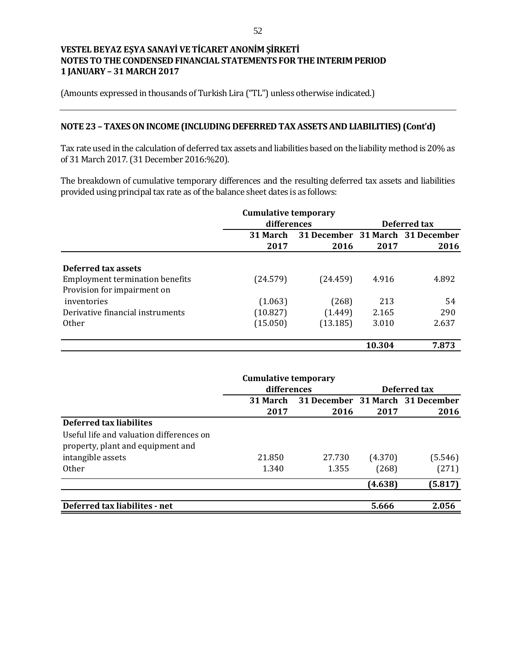(Amounts expressed in thousands of Turkish Lira ("TL") unless otherwise indicated.)

### **NOTE 23 – TAXESON INCOME (INCLUDING DEFERRED TAX ASSETS AND LIABILITIES) (Cont'd)**

Tax rate used in the calculation of deferred tax assets and liabilities based on the liability method is 20% as of 31 March 2017. (31 December 2016:%20).

The breakdown of cumulative temporary differences and the resulting deferred tax assets and liabilities provided using principal tax rate as of the balance sheet dates is as follows:

|                                                                       | <b>Cumulative temporary</b> |          |        |                                  |
|-----------------------------------------------------------------------|-----------------------------|----------|--------|----------------------------------|
|                                                                       | differences                 |          |        | Deferred tax                     |
|                                                                       | 31 March                    |          |        | 31 December 31 March 31 December |
|                                                                       | 2017                        | 2016     | 2017   | 2016                             |
| Deferred tax assets                                                   |                             |          |        |                                  |
| <b>Employment termination benefits</b><br>Provision for impairment on | (24.579)                    | (24.459) | 4.916  | 4.892                            |
| inventories                                                           | (1.063)                     | (268)    | 213    | 54                               |
| Derivative financial instruments                                      | (10.827)                    | (1.449)  | 2.165  | 290                              |
| <b>Other</b>                                                          | (15.050)                    | (13.185) | 3.010  | 2.637                            |
|                                                                       |                             |          | 10.304 | 7.873                            |

|                                          | <b>Cumulative temporary</b> |        |         |                                  |
|------------------------------------------|-----------------------------|--------|---------|----------------------------------|
|                                          | differences                 |        |         | Deferred tax                     |
|                                          | 31 March                    |        |         | 31 December 31 March 31 December |
|                                          | 2017                        | 2016   | 2017    | 2016                             |
| <b>Deferred tax liabilites</b>           |                             |        |         |                                  |
| Useful life and valuation differences on |                             |        |         |                                  |
| property, plant and equipment and        |                             |        |         |                                  |
| intangible assets                        | 21.850                      | 27.730 | (4.370) | (5.546)                          |
| <b>Other</b>                             | 1.340                       | 1.355  | (268)   | (271)                            |
|                                          |                             |        | (4.638) | (5.817)                          |
|                                          |                             |        |         |                                  |
| Deferred tax liabilites - net            |                             |        | 5.666   | 2.056                            |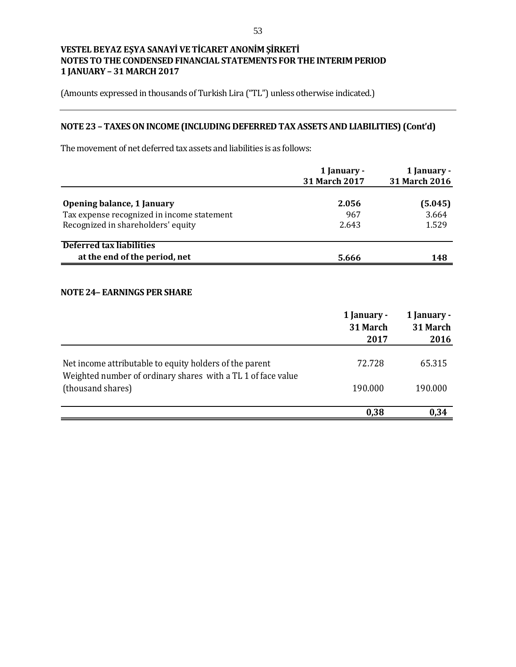(Amounts expressed in thousands of Turkish Lira ("TL") unless otherwise indicated.)

# **NOTE 23 – TAXESON INCOME (INCLUDING DEFERRED TAX ASSETS AND LIABILITIES) (Cont'd)**

The movement of net deferred tax assets and liabilities is as follows:

|                                            | 1 January -<br><b>31 March 2017</b> | 1 January -<br>31 March 2016 |
|--------------------------------------------|-------------------------------------|------------------------------|
| Opening balance, 1 January                 | 2.056                               | (5.045)                      |
| Tax expense recognized in income statement | 967                                 | 3.664                        |
| Recognized in shareholders' equity         | 2.643                               | 1.529                        |
| Deferred tax liabilities                   |                                     |                              |
| at the end of the period, net              | 5.666                               | 148                          |

#### **NOTE 24– EARNINGS PER SHARE**

|                                                                                   | 1 January -<br>31 March<br>2017 | 1 January -<br>31 March<br>2016 |
|-----------------------------------------------------------------------------------|---------------------------------|---------------------------------|
| Net income attributable to equity holders of the parent                           | 72.728                          | 65.315                          |
| Weighted number of ordinary shares with a TL 1 of face value<br>(thousand shares) | 190.000                         | 190.000                         |
|                                                                                   | 0,38                            | 0.34                            |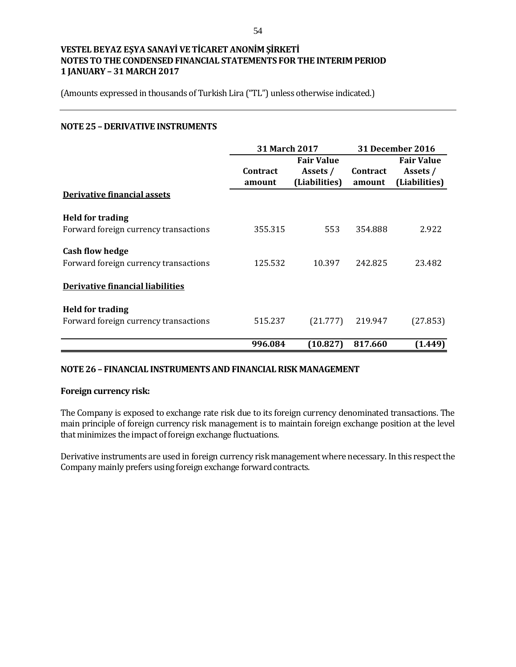(Amounts expressed in thousands of Turkish Lira ("TL") unless otherwise indicated.)

### **NOTE 25 – DERIVATIVE INSTRUMENTS**

|                                         | 31 March 2017   |                   | <b>31 December 2016</b> |                   |
|-----------------------------------------|-----------------|-------------------|-------------------------|-------------------|
|                                         |                 | <b>Fair Value</b> |                         | <b>Fair Value</b> |
|                                         | <b>Contract</b> | Assets /          | <b>Contract</b>         | Assets /          |
|                                         | amount          | (Liabilities)     | amount                  | (Liabilities)     |
| Derivative financial assets             |                 |                   |                         |                   |
| <b>Held for trading</b>                 |                 |                   |                         |                   |
| Forward foreign currency transactions   | 355.315         | 553               | 354.888                 | 2.922             |
| <b>Cash flow hedge</b>                  |                 |                   |                         |                   |
| Forward foreign currency transactions   | 125.532         | 10.397            | 242.825                 | 23.482            |
| <b>Derivative financial liabilities</b> |                 |                   |                         |                   |
| <b>Held for trading</b>                 |                 |                   |                         |                   |
| Forward foreign currency transactions   | 515.237         | (21.777)          | 219.947                 | (27.853)          |
|                                         | 996.084         | (10.827)          | 817.660                 | (1.449)           |

#### **NOTE 26 – FINANCIAL INSTRUMENTS AND FINANCIAL RISK MANAGEMENT**

#### **Foreign currency risk:**

The Company is exposed to exchange rate risk due to its foreign currency denominated transactions. The main principle of foreign currency risk management is to maintain foreign exchange position at the level that minimizes the impact of foreign exchange fluctuations.

Derivative instruments are used in foreign currency risk management where necessary. In this respect the Company mainly prefers using foreign exchange forward contracts.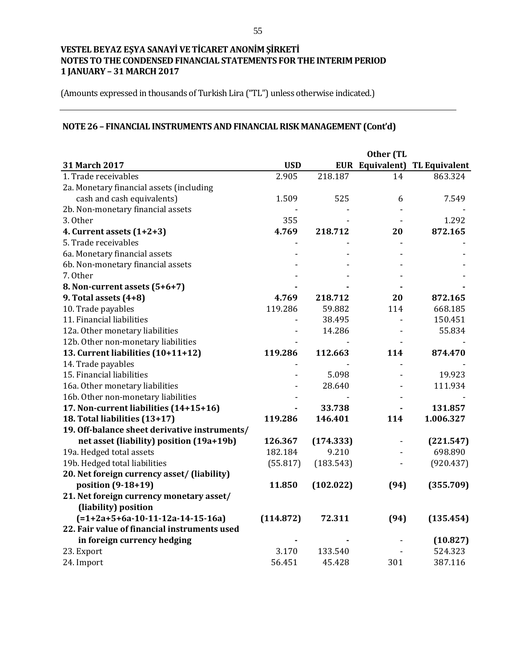(Amounts expressed in thousands of Turkish Lira ("TL") unless otherwise indicated.)

# **NOTE 26 – FINANCIAL INSTRUMENTS AND FINANCIAL RISK MANAGEMENT (Cont'd)**

|                                               |            |           | Other (TL       |                      |
|-----------------------------------------------|------------|-----------|-----------------|----------------------|
| 31 March 2017                                 | <b>USD</b> |           | EUR Equivalent) | <b>TL Equivalent</b> |
| 1. Trade receivables                          | 2.905      | 218.187   | 14              | 863.324              |
| 2a. Monetary financial assets (including      |            |           |                 |                      |
| cash and cash equivalents)                    | 1.509      | 525       | 6               | 7.549                |
| 2b. Non-monetary financial assets             |            |           |                 |                      |
| 3. Other                                      | 355        |           |                 | 1.292                |
| 4. Current assets $(1+2+3)$                   | 4.769      | 218.712   | 20              | 872.165              |
| 5. Trade receivables                          |            |           |                 |                      |
| 6a. Monetary financial assets                 |            |           |                 |                      |
| 6b. Non-monetary financial assets             |            |           |                 |                      |
| 7. Other                                      |            |           |                 |                      |
| 8. Non-current assets (5+6+7)                 |            |           |                 |                      |
| 9. Total assets $(4+8)$                       | 4.769      | 218.712   | 20              | 872.165              |
| 10. Trade payables                            | 119.286    | 59.882    | 114             | 668.185              |
| 11. Financial liabilities                     |            | 38.495    |                 | 150.451              |
| 12a. Other monetary liabilities               |            | 14.286    |                 | 55.834               |
| 12b. Other non-monetary liabilities           |            |           |                 |                      |
| 13. Current liabilities (10+11+12)            | 119.286    | 112.663   | 114             | 874.470              |
| 14. Trade payables                            |            |           |                 |                      |
| 15. Financial liabilities                     |            | 5.098     |                 | 19.923               |
| 16a. Other monetary liabilities               |            | 28.640    |                 | 111.934              |
| 16b. Other non-monetary liabilities           |            |           |                 |                      |
| 17. Non-current liabilities (14+15+16)        |            | 33.738    |                 | 131.857              |
| 18. Total liabilities (13+17)                 | 119.286    | 146.401   | 114             | 1.006.327            |
| 19. Off-balance sheet derivative instruments/ |            |           |                 |                      |
| net asset (liability) position (19a+19b)      | 126.367    | (174.333) |                 | (221.547)            |
| 19a. Hedged total assets                      | 182.184    | 9.210     |                 | 698.890              |
| 19b. Hedged total liabilities                 | (55.817)   | (183.543) |                 | (920.437)            |
| 20. Net foreign currency asset/ (liability)   |            |           |                 |                      |
| position (9-18+19)                            | 11.850     | (102.022) | (94)            | (355.709)            |
| 21. Net foreign currency monetary asset/      |            |           |                 |                      |
| (liability) position                          |            |           |                 |                      |
| $(=1+2a+5+6a-10-11-12a-14-15-16a)$            | (114.872)  | 72.311    | (94)            | (135.454)            |
| 22. Fair value of financial instruments used  |            |           |                 |                      |
| in foreign currency hedging                   |            |           |                 | (10.827)             |
| 23. Export                                    | 3.170      | 133.540   |                 | 524.323              |
| 24. Import                                    | 56.451     | 45.428    | 301             | 387.116              |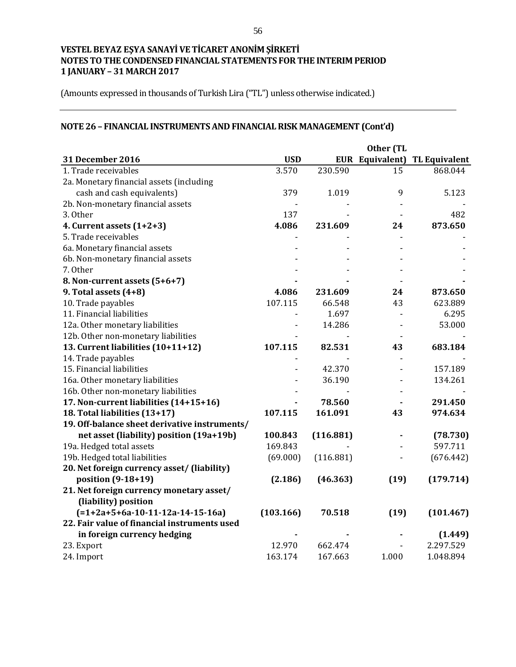(Amounts expressed in thousands of Turkish Lira ("TL") unless otherwise indicated.)

# **NOTE 26 – FINANCIAL INSTRUMENTS AND FINANCIAL RISK MANAGEMENT (Cont'd)**

|                                               |                |           | Other (TL |                                      |
|-----------------------------------------------|----------------|-----------|-----------|--------------------------------------|
| 31 December 2016                              | <b>USD</b>     |           |           | <b>EUR Equivalent) TL Equivalent</b> |
| 1. Trade receivables                          | 3.570          | 230.590   | 15        | 868.044                              |
| 2a. Monetary financial assets (including      |                |           |           |                                      |
| cash and cash equivalents)                    | 379            | 1.019     | 9         | 5.123                                |
| 2b. Non-monetary financial assets             |                |           |           |                                      |
| 3. Other                                      | 137            |           |           | 482                                  |
| 4. Current assets $(1+2+3)$                   | 4.086          | 231.609   | 24        | 873.650                              |
| 5. Trade receivables                          | $\overline{a}$ |           |           |                                      |
| 6a. Monetary financial assets                 |                |           |           |                                      |
| 6b. Non-monetary financial assets             |                |           |           |                                      |
| 7. Other                                      |                |           |           |                                      |
| 8. Non-current assets (5+6+7)                 |                |           |           |                                      |
| 9. Total assets (4+8)                         | 4.086          | 231.609   | 24        | 873.650                              |
| 10. Trade payables                            | 107.115        | 66.548    | 43        | 623.889                              |
| 11. Financial liabilities                     |                | 1.697     |           | 6.295                                |
| 12a. Other monetary liabilities               |                | 14.286    |           | 53.000                               |
| 12b. Other non-monetary liabilities           |                |           |           |                                      |
| 13. Current liabilities (10+11+12)            | 107.115        | 82.531    | 43        | 683.184                              |
| 14. Trade payables                            |                |           |           |                                      |
| 15. Financial liabilities                     |                | 42.370    |           | 157.189                              |
| 16a. Other monetary liabilities               |                | 36.190    |           | 134.261                              |
| 16b. Other non-monetary liabilities           |                |           |           |                                      |
| 17. Non-current liabilities (14+15+16)        |                | 78.560    |           | 291.450                              |
| 18. Total liabilities (13+17)                 | 107.115        | 161.091   | 43        | 974.634                              |
| 19. Off-balance sheet derivative instruments/ |                |           |           |                                      |
| net asset (liability) position (19a+19b)      | 100.843        | (116.881) |           | (78.730)                             |
| 19a. Hedged total assets                      | 169.843        |           |           | 597.711                              |
| 19b. Hedged total liabilities                 | (69.000)       | (116.881) |           | (676.442)                            |
| 20. Net foreign currency asset/ (liability)   |                |           |           |                                      |
| position (9-18+19)                            | (2.186)        | (46.363)  | (19)      | (179.714)                            |
| 21. Net foreign currency monetary asset/      |                |           |           |                                      |
| (liability) position                          |                |           |           |                                      |
| $(=1+2a+5+6a-10-11-12a-14-15-16a)$            | (103.166)      | 70.518    | (19)      | (101.467)                            |
| 22. Fair value of financial instruments used  |                |           |           |                                      |
| in foreign currency hedging                   |                |           |           | (1.449)                              |
| 23. Export                                    | 12.970         | 662.474   |           | 2.297.529                            |
| 24. Import                                    | 163.174        | 167.663   | 1.000     | 1.048.894                            |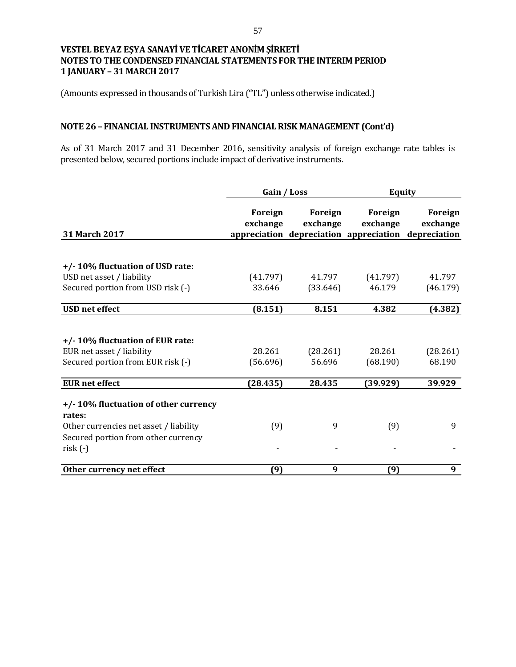(Amounts expressed in thousands of Turkish Lira ("TL") unless otherwise indicated.)

# **NOTE 26 – FINANCIAL INSTRUMENTS AND FINANCIAL RISK MANAGEMENT (Cont'd)**

As of 31 March 2017 and 31 December 2016, sensitivity analysis of foreign exchange rate tables is presented below, secured portions include impact of derivative instruments.

|                                                                                                                                              | Gain / Loss         |                     | <b>Equity</b>                                                              |                            |
|----------------------------------------------------------------------------------------------------------------------------------------------|---------------------|---------------------|----------------------------------------------------------------------------|----------------------------|
| <b>31 March 2017</b>                                                                                                                         | Foreign<br>exchange | Foreign<br>exchange | Foreign<br>exchange<br>appreciation depreciation appreciation depreciation | <b>Foreign</b><br>exchange |
| +/-10% fluctuation of USD rate:<br>USD net asset / liability<br>Secured portion from USD risk (-)                                            | (41.797)<br>33.646  | 41.797<br>(33.646)  | (41.797)<br>46.179                                                         | 41.797<br>(46.179)         |
| <b>USD</b> net effect                                                                                                                        | (8.151)             | 8.151               | 4.382                                                                      | (4.382)                    |
| +/-10% fluctuation of EUR rate:<br>EUR net asset / liability<br>Secured portion from EUR risk (-)                                            | 28.261<br>(56.696)  | (28.261)<br>56.696  | 28.261<br>(68.190)                                                         | (28.261)<br>68.190         |
| <b>EUR</b> net effect                                                                                                                        | (28.435)            | 28.435              | (39.929)                                                                   | 39.929                     |
| +/-10% fluctuation of other currency<br>rates:<br>Other currencies net asset / liability<br>Secured portion from other currency<br>$risk(-)$ | (9)                 | 9                   | (9)                                                                        | 9                          |
| Other currency net effect                                                                                                                    | (9)                 | 9                   | (9)                                                                        | 9                          |